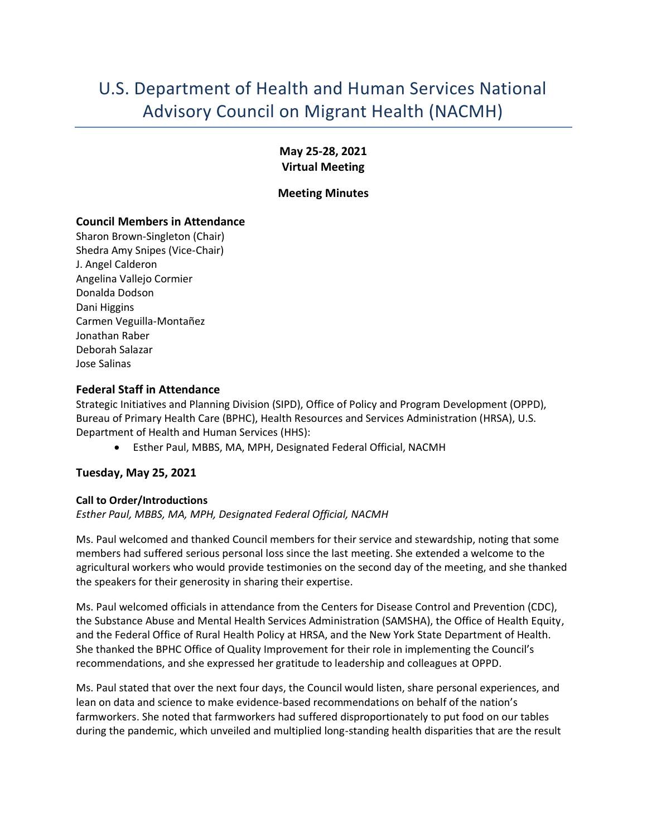# U.S. Department of Health and Human Services National Advisory Council on Migrant Health (NACMH)

## **May 25-28, 2021 Virtual Meeting**

#### **Meeting Minutes**

## **Council Members in Attendance**

Sharon Brown-Singleton (Chair) Shedra Amy Snipes (Vice-Chair) J. Angel Calderon Angelina Vallejo Cormier Donalda Dodson Dani Higgins Carmen Veguilla-Montañez Jonathan Raber Deborah Salazar Jose Salinas

## **Federal Staff in Attendance**

Strategic Initiatives and Planning Division (SIPD), Office of Policy and Program Development (OPPD), Bureau of Primary Health Care (BPHC), Health Resources and Services Administration (HRSA), U.S. Department of Health and Human Services (HHS):

• Esther Paul, MBBS, MA, MPH, Designated Federal Official, NACMH

## **Tuesday, May 25, 2021**

## **Call to Order/Introductions**

*Esther Paul, MBBS, MA, MPH, Designated Federal Official, NACMH* 

Ms. Paul welcomed and thanked Council members for their service and stewardship, noting that some members had suffered serious personal loss since the last meeting. She extended a welcome to the agricultural workers who would provide testimonies on the second day of the meeting, and she thanked the speakers for their generosity in sharing their expertise.

Ms. Paul welcomed officials in attendance from the Centers for Disease Control and Prevention (CDC), the Substance Abuse and Mental Health Services Administration (SAMSHA), the Office of Health Equity, and the Federal Office of Rural Health Policy at HRSA, and the New York State Department of Health. She thanked the BPHC Office of Quality Improvement for their role in implementing the Council's recommendations, and she expressed her gratitude to leadership and colleagues at OPPD.

Ms. Paul stated that over the next four days, the Council would listen, share personal experiences, and lean on data and science to make evidence-based recommendations on behalf of the nation's farmworkers. She noted that farmworkers had suffered disproportionately to put food on our tables during the pandemic, which unveiled and multiplied long-standing health disparities that are the result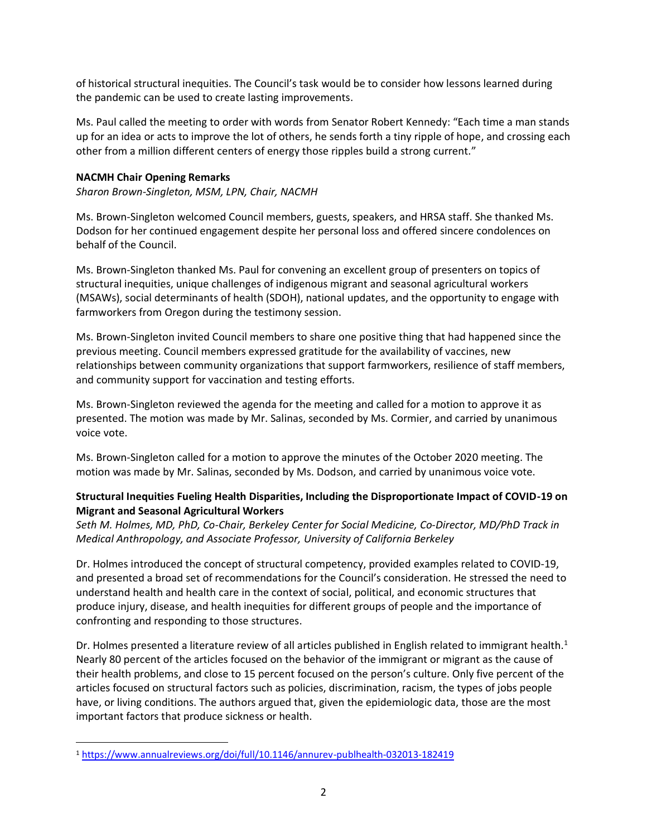of historical structural inequities. The Council's task would be to consider how lessons learned during the pandemic can be used to create lasting improvements.

Ms. Paul called the meeting to order with words from Senator Robert Kennedy: "Each time a man stands up for an idea or acts to improve the lot of others, he sends forth a tiny ripple of hope, and crossing each other from a million different centers of energy those ripples build a strong current."

#### **NACMH Chair Opening Remarks**

*Sharon Brown-Singleton, MSM, LPN, Chair, NACMH* 

Ms. Brown-Singleton welcomed Council members, guests, speakers, and HRSA staff. She thanked Ms. Dodson for her continued engagement despite her personal loss and offered sincere condolences on behalf of the Council.

Ms. Brown-Singleton thanked Ms. Paul for convening an excellent group of presenters on topics of structural inequities, unique challenges of indigenous migrant and seasonal agricultural workers (MSAWs), social determinants of health (SDOH), national updates, and the opportunity to engage with farmworkers from Oregon during the testimony session.

Ms. Brown-Singleton invited Council members to share one positive thing that had happened since the previous meeting. Council members expressed gratitude for the availability of vaccines, new relationships between community organizations that support farmworkers, resilience of staff members, and community support for vaccination and testing efforts.

Ms. Brown-Singleton reviewed the agenda for the meeting and called for a motion to approve it as presented. The motion was made by Mr. Salinas, seconded by Ms. Cormier, and carried by unanimous voice vote.

Ms. Brown-Singleton called for a motion to approve the minutes of the October 2020 meeting. The motion was made by Mr. Salinas, seconded by Ms. Dodson, and carried by unanimous voice vote.

## **Structural Inequities Fueling Health Disparities, Including the Disproportionate Impact of COVID-19 on Migrant and Seasonal Agricultural Workers**

*Seth M. Holmes, MD, PhD, Co-Chair, Berkeley Center for Social Medicine, Co-Director, MD/PhD Track in Medical Anthropology, and Associate Professor, University of California Berkeley* 

Dr. Holmes introduced the concept of structural competency, provided examples related to COVID-19, and presented a broad set of recommendations for the Council's consideration. He stressed the need to understand health and health care in the context of social, political, and economic structures that produce injury, disease, and health inequities for different groups of people and the importance of confronting and responding to those structures.

Dr. Holmes presented a literature review of all articles published in English related to immigrant health.<sup>1</sup> Nearly 80 percent of the articles focused on the behavior of the immigrant or migrant as the cause of their health problems, and close to 15 percent focused on the person's culture. Only five percent of the articles focused on structural factors such as policies, discrimination, racism, the types of jobs people have, or living conditions. The authors argued that, given the epidemiologic data, those are the most important factors that produce sickness or health.

<sup>1</sup> <https://www.annualreviews.org/doi/full/10.1146/annurev-publhealth-032013-182419>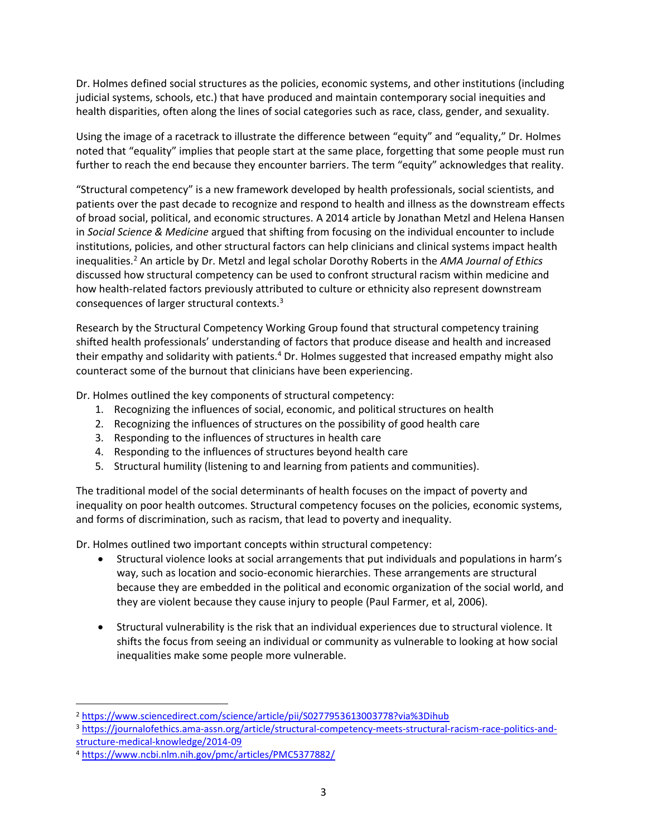Dr. Holmes defined social structures as the policies, economic systems, and other institutions (including judicial systems, schools, etc.) that have produced and maintain contemporary social inequities and health disparities, often along the lines of social categories such as race, class, gender, and sexuality.

Using the image of a racetrack to illustrate the difference between "equity" and "equality," Dr. Holmes noted that "equality" implies that people start at the same place, forgetting that some people must run further to reach the end because they encounter barriers. The term "equity" acknowledges that reality.

"Structural competency" is a new framework developed by health professionals, social scientists, and patients over the past decade to recognize and respond to health and illness as the downstream effects of broad social, political, and economic structures. A 2014 article by Jonathan Metzl and Helena Hansen in *Social Science & Medicine* argued that shifting from focusing on the individual encounter to include institutions, policies, and other structural factors can help clinicians and clinical systems impact health inequalities.<sup>2</sup> An article by Dr. Metzl and legal scholar Dorothy Roberts in the *AMA Journal of Ethics* discussed how structural competency can be used to confront structural racism within medicine and how health-related factors previously attributed to culture or ethnicity also represent downstream consequences of larger structural contexts.<sup>3</sup>

Research by the Structural Competency Working Group found that structural competency training shifted health professionals' understanding of factors that produce disease and health and increased their empathy and solidarity with patients.<sup>4</sup> Dr. Holmes suggested that increased empathy might also counteract some of the burnout that clinicians have been experiencing.

Dr. Holmes outlined the key components of structural competency:

- 1. Recognizing the influences of social, economic, and political structures on health
- 2. Recognizing the influences of structures on the possibility of good health care
- 3. Responding to the influences of structures in health care
- 4. Responding to the influences of structures beyond health care
- 5. Structural humility (listening to and learning from patients and communities).

The traditional model of the social determinants of health focuses on the impact of poverty and inequality on poor health outcomes. Structural competency focuses on the policies, economic systems, and forms of discrimination, such as racism, that lead to poverty and inequality.

Dr. Holmes outlined two important concepts within structural competency:

- Structural violence looks at social arrangements that put individuals and populations in harm's way, such as location and socio-economic hierarchies. These arrangements are structural because they are embedded in the political and economic organization of the social world, and they are violent because they cause injury to people (Paul Farmer, et al, 2006).
- Structural vulnerability is the risk that an individual experiences due to structural violence. It shifts the focus from seeing an individual or community as vulnerable to looking at how social inequalities make some people more vulnerable.

<sup>2</sup> <https://www.sciencedirect.com/science/article/pii/S0277953613003778?via%3Dihub>

<sup>3</sup> [https://journalofethics.ama-assn.org/article/structural-competency-meets-structural-racism-race-politics-and](https://journalofethics.ama-assn.org/article/structural-competency-meets-structural-racism-race-politics-and-structure-medical-knowledge/2014-09)[structure-medical-knowledge/2014-09](https://journalofethics.ama-assn.org/article/structural-competency-meets-structural-racism-race-politics-and-structure-medical-knowledge/2014-09)

<sup>4</sup> <https://www.ncbi.nlm.nih.gov/pmc/articles/PMC5377882/>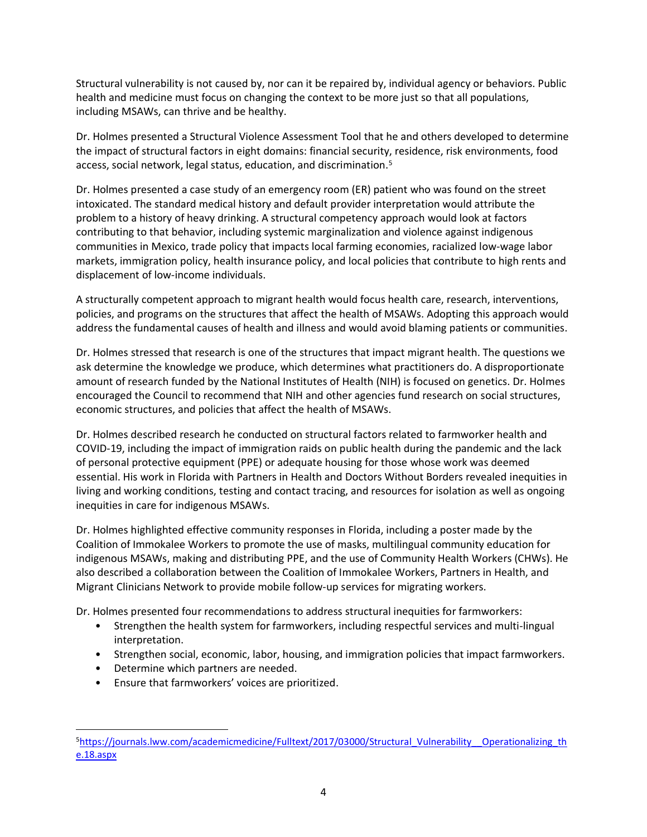Structural vulnerability is not caused by, nor can it be repaired by, individual agency or behaviors. Public health and medicine must focus on changing the context to be more just so that all populations, including MSAWs, can thrive and be healthy.

Dr. Holmes presented a Structural Violence Assessment Tool that he and others developed to determine the impact of structural factors in eight domains: financial security, residence, risk environments, food access, social network, legal status, education, and discrimination.<sup>5</sup>

Dr. Holmes presented a case study of an emergency room (ER) patient who was found on the street intoxicated. The standard medical history and default provider interpretation would attribute the problem to a history of heavy drinking. A structural competency approach would look at factors contributing to that behavior, including systemic marginalization and violence against indigenous communities in Mexico, trade policy that impacts local farming economies, racialized low-wage labor markets, immigration policy, health insurance policy, and local policies that contribute to high rents and displacement of low-income individuals.

A structurally competent approach to migrant health would focus health care, research, interventions, policies, and programs on the structures that affect the health of MSAWs. Adopting this approach would address the fundamental causes of health and illness and would avoid blaming patients or communities.

Dr. Holmes stressed that research is one of the structures that impact migrant health. The questions we ask determine the knowledge we produce, which determines what practitioners do. A disproportionate amount of research funded by the National Institutes of Health (NIH) is focused on genetics. Dr. Holmes encouraged the Council to recommend that NIH and other agencies fund research on social structures, economic structures, and policies that affect the health of MSAWs.

Dr. Holmes described research he conducted on structural factors related to farmworker health and COVID-19, including the impact of immigration raids on public health during the pandemic and the lack of personal protective equipment (PPE) or adequate housing for those whose work was deemed essential. His work in Florida with Partners in Health and Doctors Without Borders revealed inequities in living and working conditions, testing and contact tracing, and resources for isolation as well as ongoing inequities in care for indigenous MSAWs.

Dr. Holmes highlighted effective community responses in Florida, including a poster made by the Coalition of Immokalee Workers to promote the use of masks, multilingual community education for indigenous MSAWs, making and distributing PPE, and the use of Community Health Workers (CHWs). He also described a collaboration between the Coalition of Immokalee Workers, Partners in Health, and Migrant Clinicians Network to provide mobile follow-up services for migrating workers.

Dr. Holmes presented four recommendations to address structural inequities for farmworkers:

- Strengthen the health system for farmworkers, including respectful services and multi-lingual interpretation.
- Strengthen social, economic, labor, housing, and immigration policies that impact farmworkers.
- Determine which partners are needed.
- Ensure that farmworkers' voices are prioritized.

<sup>5</sup>https://journals.lww.com/academicmedicine/Fulltext/2017/03000/Structural\_Vulnerability\_Operationalizing\_th [e.18.aspx](https://journals.lww.com/academicmedicine/Fulltext/2017/03000/Structural_Vulnerability__Operationalizing_the.18.aspx)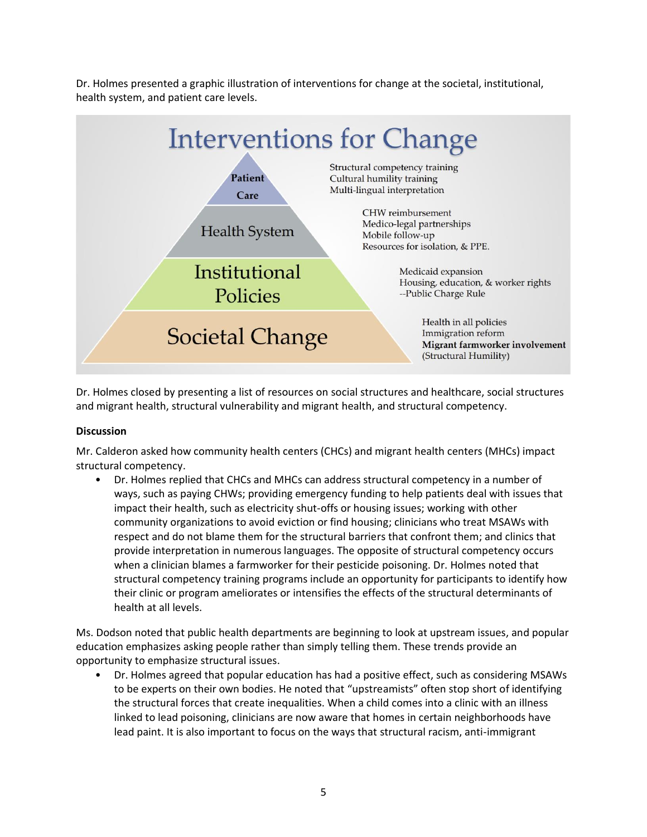Dr. Holmes presented a graphic illustration of interventions for change at the societal, institutional, health system, and patient care levels.



Dr. Holmes closed by presenting a list of resources on social structures and healthcare, social structures and migrant health, structural vulnerability and migrant health, and structural competency.

#### **Discussion**

Mr. Calderon asked how community health centers (CHCs) and migrant health centers (MHCs) impact structural competency.

• Dr. Holmes replied that CHCs and MHCs can address structural competency in a number of ways, such as paying CHWs; providing emergency funding to help patients deal with issues that impact their health, such as electricity shut-offs or housing issues; working with other community organizations to avoid eviction or find housing; clinicians who treat MSAWs with respect and do not blame them for the structural barriers that confront them; and clinics that provide interpretation in numerous languages. The opposite of structural competency occurs when a clinician blames a farmworker for their pesticide poisoning. Dr. Holmes noted that structural competency training programs include an opportunity for participants to identify how their clinic or program ameliorates or intensifies the effects of the structural determinants of health at all levels.

Ms. Dodson noted that public health departments are beginning to look at upstream issues, and popular education emphasizes asking people rather than simply telling them. These trends provide an opportunity to emphasize structural issues.

• Dr. Holmes agreed that popular education has had a positive effect, such as considering MSAWs to be experts on their own bodies. He noted that "upstreamists" often stop short of identifying the structural forces that create inequalities. When a child comes into a clinic with an illness linked to lead poisoning, clinicians are now aware that homes in certain neighborhoods have lead paint. It is also important to focus on the ways that structural racism, anti-immigrant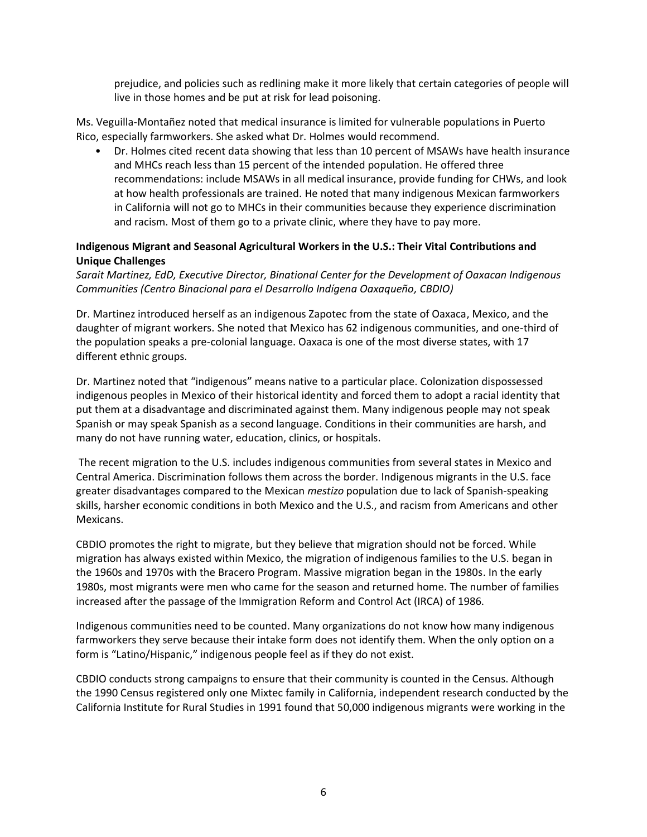prejudice, and policies such as redlining make it more likely that certain categories of people will live in those homes and be put at risk for lead poisoning.

Ms. Veguilla-Montañez noted that medical insurance is limited for vulnerable populations in Puerto Rico, especially farmworkers. She asked what Dr. Holmes would recommend.

• Dr. Holmes cited recent data showing that less than 10 percent of MSAWs have health insurance and MHCs reach less than 15 percent of the intended population. He offered three recommendations: include MSAWs in all medical insurance, provide funding for CHWs, and look at how health professionals are trained. He noted that many indigenous Mexican farmworkers in California will not go to MHCs in their communities because they experience discrimination and racism. Most of them go to a private clinic, where they have to pay more.

#### **Indigenous Migrant and Seasonal Agricultural Workers in the U.S.: Their Vital Contributions and Unique Challenges**

*Sarait Martinez, EdD, Executive Director, Binational Center for the Development of Oaxacan Indigenous Communities (Centro Binacional para el Desarrollo Indígena Oaxaqueño, CBDIO)* 

Dr. Martinez introduced herself as an indigenous Zapotec from the state of Oaxaca, Mexico, and the daughter of migrant workers. She noted that Mexico has 62 indigenous communities, and one-third of the population speaks a pre-colonial language. Oaxaca is one of the most diverse states, with 17 different ethnic groups.

Dr. Martinez noted that "indigenous" means native to a particular place. Colonization dispossessed indigenous peoples in Mexico of their historical identity and forced them to adopt a racial identity that put them at a disadvantage and discriminated against them. Many indigenous people may not speak Spanish or may speak Spanish as a second language. Conditions in their communities are harsh, and many do not have running water, education, clinics, or hospitals.

The recent migration to the U.S. includes indigenous communities from several states in Mexico and Central America. Discrimination follows them across the border. Indigenous migrants in the U.S. face greater disadvantages compared to the Mexican *mestizo* population due to lack of Spanish-speaking skills, harsher economic conditions in both Mexico and the U.S., and racism from Americans and other Mexicans.

CBDIO promotes the right to migrate, but they believe that migration should not be forced. While migration has always existed within Mexico, the migration of indigenous families to the U.S. began in the 1960s and 1970s with the Bracero Program. Massive migration began in the 1980s. In the early 1980s, most migrants were men who came for the season and returned home. The number of families increased after the passage of the Immigration Reform and Control Act (IRCA) of 1986.

Indigenous communities need to be counted. Many organizations do not know how many indigenous farmworkers they serve because their intake form does not identify them. When the only option on a form is "Latino/Hispanic," indigenous people feel as if they do not exist.

CBDIO conducts strong campaigns to ensure that their community is counted in the Census. Although the 1990 Census registered only one Mixtec family in California, independent research conducted by the California Institute for Rural Studies in 1991 found that 50,000 indigenous migrants were working in the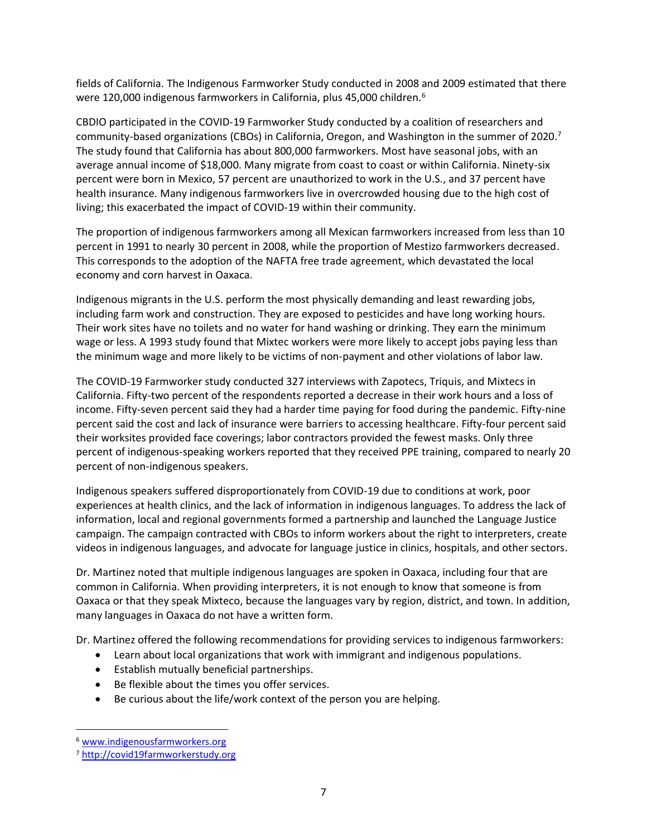fields of California. The Indigenous Farmworker Study conducted in 2008 and 2009 estimated that there were 120,000 indigenous farmworkers in California, plus 45,000 children.<sup>6</sup>

CBDIO participated in the COVID-19 Farmworker Study conducted by a coalition of researchers and community-based organizations (CBOs) in California, Oregon, and Washington in the summer of 2020.<sup>7</sup> The study found that California has about 800,000 farmworkers. Most have seasonal jobs, with an average annual income of \$18,000. Many migrate from coast to coast or within California. Ninety-six percent were born in Mexico, 57 percent are unauthorized to work in the U.S., and 37 percent have health insurance. Many indigenous farmworkers live in overcrowded housing due to the high cost of living; this exacerbated the impact of COVID-19 within their community.

The proportion of indigenous farmworkers among all Mexican farmworkers increased from less than 10 percent in 1991 to nearly 30 percent in 2008, while the proportion of Mestizo farmworkers decreased. This corresponds to the adoption of the NAFTA free trade agreement, which devastated the local economy and corn harvest in Oaxaca.

Indigenous migrants in the U.S. perform the most physically demanding and least rewarding jobs, including farm work and construction. They are exposed to pesticides and have long working hours. Their work sites have no toilets and no water for hand washing or drinking. They earn the minimum wage or less. A 1993 study found that Mixtec workers were more likely to accept jobs paying less than the minimum wage and more likely to be victims of non-payment and other violations of labor law.

The COVID-19 Farmworker study conducted 327 interviews with Zapotecs, Triquis, and Mixtecs in California. Fifty-two percent of the respondents reported a decrease in their work hours and a loss of income. Fifty-seven percent said they had a harder time paying for food during the pandemic. Fifty-nine percent said the cost and lack of insurance were barriers to accessing healthcare. Fifty-four percent said their worksites provided face coverings; labor contractors provided the fewest masks. Only three percent of indigenous-speaking workers reported that they received PPE training, compared to nearly 20 percent of non-indigenous speakers.

Indigenous speakers suffered disproportionately from COVID-19 due to conditions at work, poor experiences at health clinics, and the lack of information in indigenous languages. To address the lack of information, local and regional governments formed a partnership and launched the Language Justice campaign. The campaign contracted with CBOs to inform workers about the right to interpreters, create videos in indigenous languages, and advocate for language justice in clinics, hospitals, and other sectors.

Dr. Martinez noted that multiple indigenous languages are spoken in Oaxaca, including four that are common in California. When providing interpreters, it is not enough to know that someone is from Oaxaca or that they speak Mixteco, because the languages vary by region, district, and town. In addition, many languages in Oaxaca do not have a written form.

Dr. Martinez offered the following recommendations for providing services to indigenous farmworkers:

- Learn about local organizations that work with immigrant and indigenous populations.
- Establish mutually beneficial partnerships.
- Be flexible about the times you offer services.
- Be curious about the life/work context of the person you are helping.

<sup>6</sup> [www.indigenousfarmworkers.org](http://www.indigenousfarmworkers.org/)

<sup>7</sup> [http://covid19farmworkerstudy.org](http://covid19farmworkerstudy.org/)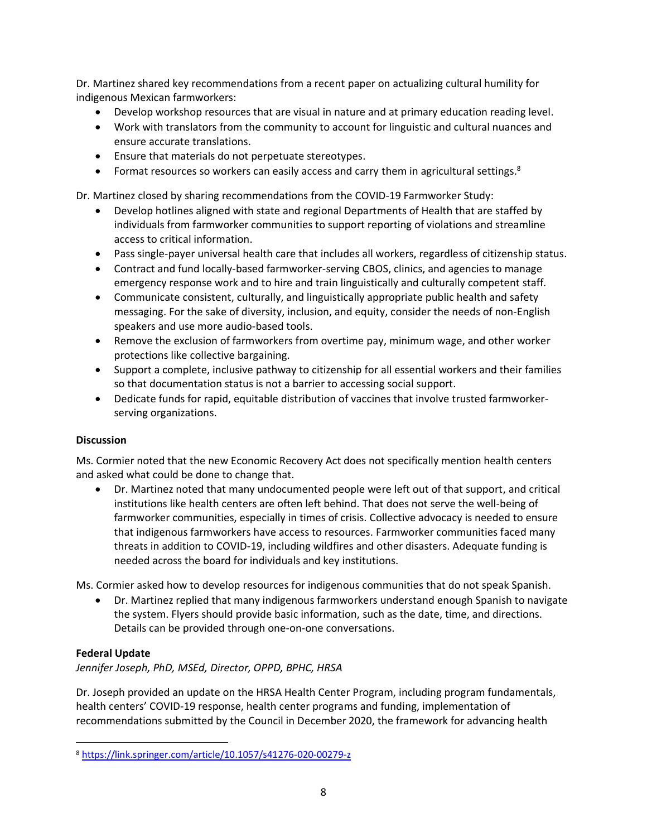Dr. Martinez shared key recommendations from a recent paper on actualizing cultural humility for indigenous Mexican farmworkers:

- Develop workshop resources that are visual in nature and at primary education reading level.
- Work with translators from the community to account for linguistic and cultural nuances and ensure accurate translations.
- Ensure that materials do not perpetuate stereotypes.
- Format resources so workers can easily access and carry them in agricultural settings. $8$

Dr. Martinez closed by sharing recommendations from the COVID-19 Farmworker Study:

- Develop hotlines aligned with state and regional Departments of Health that are staffed by individuals from farmworker communities to support reporting of violations and streamline access to critical information.
- Pass single-payer universal health care that includes all workers, regardless of citizenship status.
- Contract and fund locally-based farmworker-serving CBOS, clinics, and agencies to manage emergency response work and to hire and train linguistically and culturally competent staff.
- Communicate consistent, culturally, and linguistically appropriate public health and safety messaging. For the sake of diversity, inclusion, and equity, consider the needs of non-English speakers and use more audio-based tools.
- Remove the exclusion of farmworkers from overtime pay, minimum wage, and other worker protections like collective bargaining.
- Support a complete, inclusive pathway to citizenship for all essential workers and their families so that documentation status is not a barrier to accessing social support.
- Dedicate funds for rapid, equitable distribution of vaccines that involve trusted farmworkerserving organizations.

#### **Discussion**

Ms. Cormier noted that the new Economic Recovery Act does not specifically mention health centers and asked what could be done to change that.

• Dr. Martinez noted that many undocumented people were left out of that support, and critical institutions like health centers are often left behind. That does not serve the well-being of farmworker communities, especially in times of crisis. Collective advocacy is needed to ensure that indigenous farmworkers have access to resources. Farmworker communities faced many threats in addition to COVID-19, including wildfires and other disasters. Adequate funding is needed across the board for individuals and key institutions.

Ms. Cormier asked how to develop resources for indigenous communities that do not speak Spanish.

• Dr. Martinez replied that many indigenous farmworkers understand enough Spanish to navigate the system. Flyers should provide basic information, such as the date, time, and directions. Details can be provided through one-on-one conversations.

## **Federal Update**

*Jennifer Joseph, PhD, MSEd, Director, OPPD, BPHC, HRSA* 

Dr. Joseph provided an update on the HRSA Health Center Program, including program fundamentals, health centers' COVID-19 response, health center programs and funding, implementation of recommendations submitted by the Council in December 2020, the framework for advancing health

<sup>8</sup> <https://link.springer.com/article/10.1057/s41276-020-00279-z>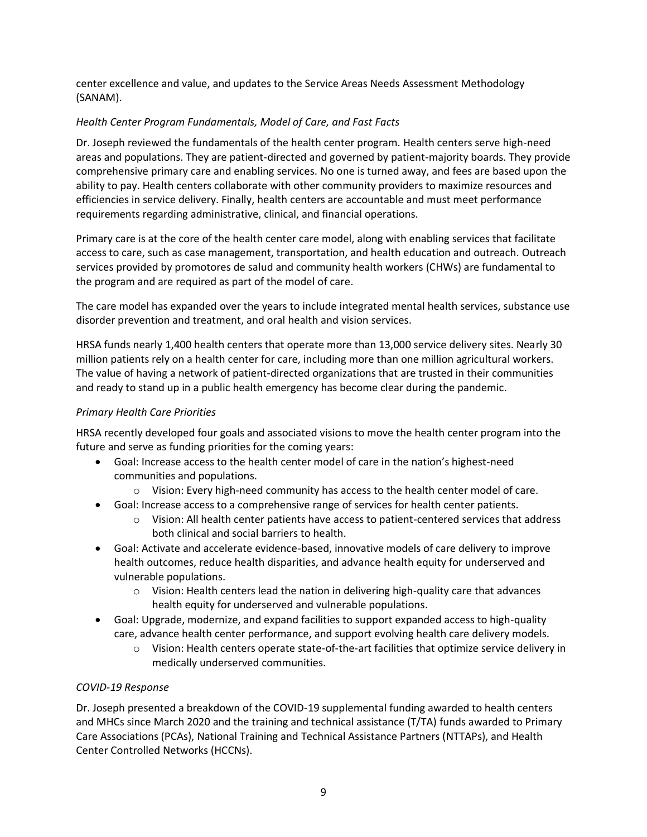center excellence and value, and updates to the Service Areas Needs Assessment Methodology (SANAM).

## *Health Center Program Fundamentals, Model of Care, and Fast Facts*

Dr. Joseph reviewed the fundamentals of the health center program. Health centers serve high-need areas and populations. They are patient-directed and governed by patient-majority boards. They provide comprehensive primary care and enabling services. No one is turned away, and fees are based upon the ability to pay. Health centers collaborate with other community providers to maximize resources and efficiencies in service delivery. Finally, health centers are accountable and must meet performance requirements regarding administrative, clinical, and financial operations.

Primary care is at the core of the health center care model, along with enabling services that facilitate access to care, such as case management, transportation, and health education and outreach. Outreach services provided by promotores de salud and community health workers (CHWs) are fundamental to the program and are required as part of the model of care.

The care model has expanded over the years to include integrated mental health services, substance use disorder prevention and treatment, and oral health and vision services.

HRSA funds nearly 1,400 health centers that operate more than 13,000 service delivery sites. Nearly 30 million patients rely on a health center for care, including more than one million agricultural workers. The value of having a network of patient-directed organizations that are trusted in their communities and ready to stand up in a public health emergency has become clear during the pandemic.

## *Primary Health Care Priorities*

HRSA recently developed four goals and associated visions to move the health center program into the future and serve as funding priorities for the coming years:

- Goal: Increase access to the health center model of care in the nation's highest-need communities and populations.
	- Vision: Every high-need community has access to the health center model of care.
- Goal: Increase access to a comprehensive range of services for health center patients.
	- Vision: All health center patients have access to patient-centered services that address both clinical and social barriers to health.
- Goal: Activate and accelerate evidence-based, innovative models of care delivery to improve health outcomes, reduce health disparities, and advance health equity for underserved and vulnerable populations.
	- $\circ$  Vision: Health centers lead the nation in delivering high-quality care that advances health equity for underserved and vulnerable populations.
- Goal: Upgrade, modernize, and expand facilities to support expanded access to high-quality care, advance health center performance, and support evolving health care delivery models.
	- Vision: Health centers operate state-of-the-art facilities that optimize service delivery in medically underserved communities.

## *COVID-19 Response*

Dr. Joseph presented a breakdown of the COVID-19 supplemental funding awarded to health centers and MHCs since March 2020 and the training and technical assistance (T/TA) funds awarded to Primary Care Associations (PCAs), National Training and Technical Assistance Partners (NTTAPs), and Health Center Controlled Networks (HCCNs).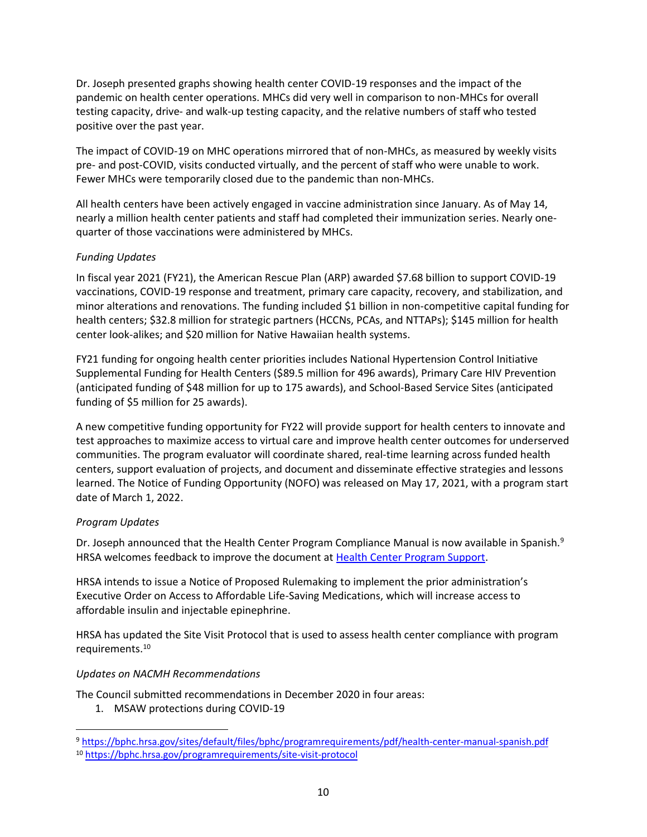Dr. Joseph presented graphs showing health center COVID-19 responses and the impact of the pandemic on health center operations. MHCs did very well in comparison to non-MHCs for overall testing capacity, drive- and walk-up testing capacity, and the relative numbers of staff who tested positive over the past year.

The impact of COVID-19 on MHC operations mirrored that of non-MHCs, as measured by weekly visits pre- and post-COVID, visits conducted virtually, and the percent of staff who were unable to work. Fewer MHCs were temporarily closed due to the pandemic than non-MHCs.

All health centers have been actively engaged in vaccine administration since January. As of May 14, nearly a million health center patients and staff had completed their immunization series. Nearly onequarter of those vaccinations were administered by MHCs.

## *Funding Updates*

In fiscal year 2021 (FY21), the American Rescue Plan (ARP) awarded \$7.68 billion to support COVID-19 vaccinations, COVID-19 response and treatment, primary care capacity, recovery, and stabilization, and minor alterations and renovations. The funding included \$1 billion in non-competitive capital funding for health centers; \$32.8 million for strategic partners (HCCNs, PCAs, and NTTAPs); \$145 million for health center look-alikes; and \$20 million for Native Hawaiian health systems.

FY21 funding for ongoing health center priorities includes National Hypertension Control Initiative Supplemental Funding for Health Centers (\$89.5 million for 496 awards), Primary Care HIV Prevention (anticipated funding of \$48 million for up to 175 awards), and School-Based Service Sites (anticipated funding of \$5 million for 25 awards).

A new competitive funding opportunity for FY22 will provide support for health centers to innovate and test approaches to maximize access to virtual care and improve health center outcomes for underserved communities. The program evaluator will coordinate shared, real-time learning across funded health centers, support evaluation of projects, and document and disseminate effective strategies and lessons learned. The Notice of Funding Opportunity (NOFO) was released on May 17, 2021, with a program start date of March 1, 2022.

## *Program Updates*

Dr. Joseph announced that the Health Center Program Compliance Manual is now available in Spanish.<sup>9</sup> HRSA welcomes feedback to improve the document at [Health Center Program Support.](https://bphccommunications.secure.force.com/ContactBPHC/BPHC_Contact_Form)

HRSA intends to issue a Notice of Proposed Rulemaking to implement the prior administration's Executive Order on Access to Affordable Life-Saving Medications, which will increase access to affordable insulin and injectable epinephrine.

HRSA has updated the Site Visit Protocol that is used to assess health center compliance with program requirements.<sup>10</sup>

## *Updates on NACMH Recommendations*

The Council submitted recommendations in December 2020 in four areas:

1. MSAW protections during COVID-19

<sup>9</sup> <https://bphc.hrsa.gov/sites/default/files/bphc/programrequirements/pdf/health-center-manual-spanish.pdf>

<sup>10</sup> <https://bphc.hrsa.gov/programrequirements/site-visit-protocol>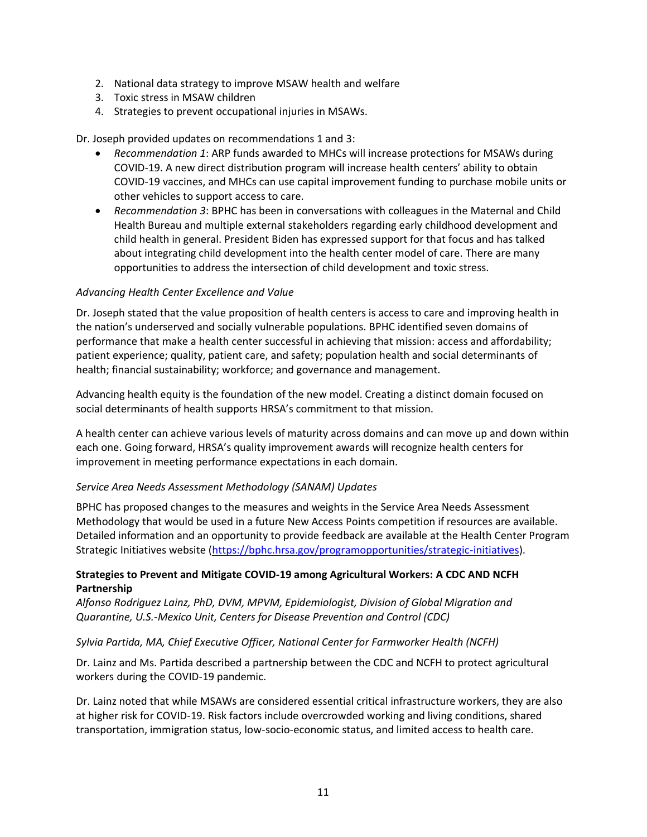- 2. National data strategy to improve MSAW health and welfare
- 3. Toxic stress in MSAW children
- 4. Strategies to prevent occupational injuries in MSAWs.

Dr. Joseph provided updates on recommendations 1 and 3:

- *Recommendation 1*: ARP funds awarded to MHCs will increase protections for MSAWs during COVID-19. A new direct distribution program will increase health centers' ability to obtain COVID-19 vaccines, and MHCs can use capital improvement funding to purchase mobile units or other vehicles to support access to care.
- *Recommendation 3*: BPHC has been in conversations with colleagues in the Maternal and Child Health Bureau and multiple external stakeholders regarding early childhood development and child health in general. President Biden has expressed support for that focus and has talked about integrating child development into the health center model of care. There are many opportunities to address the intersection of child development and toxic stress.

#### *Advancing Health Center Excellence and Value*

Dr. Joseph stated that the value proposition of health centers is access to care and improving health in the nation's underserved and socially vulnerable populations. BPHC identified seven domains of performance that make a health center successful in achieving that mission: access and affordability; patient experience; quality, patient care, and safety; population health and social determinants of health; financial sustainability; workforce; and governance and management.

Advancing health equity is the foundation of the new model. Creating a distinct domain focused on social determinants of health supports HRSA's commitment to that mission.

A health center can achieve various levels of maturity across domains and can move up and down within each one. Going forward, HRSA's quality improvement awards will recognize health centers for improvement in meeting performance expectations in each domain.

#### *Service Area Needs Assessment Methodology (SANAM) Updates*

BPHC has proposed changes to the measures and weights in the Service Area Needs Assessment Methodology that would be used in a future New Access Points competition if resources are available. Detailed information and an opportunity to provide feedback are available at the Health Center Program Strategic Initiatives website [\(https://bphc.hrsa.gov/programopportunities/strategic-initiatives\)](https://bphc.hrsa.gov/programopportunities/strategic-initiatives).

#### **Strategies to Prevent and Mitigate COVID-19 among Agricultural Workers: A CDC AND NCFH Partnership**

*Alfonso Rodriguez Lainz, PhD, DVM, MPVM, Epidemiologist, Division of Global Migration and Quarantine, U.S.-Mexico Unit, Centers for Disease Prevention and Control (CDC)*

## *Sylvia Partida, MA, Chief Executive Officer, National Center for Farmworker Health (NCFH)*

Dr. Lainz and Ms. Partida described a partnership between the CDC and NCFH to protect agricultural workers during the COVID-19 pandemic.

Dr. Lainz noted that while MSAWs are considered essential critical infrastructure workers, they are also at higher risk for COVID-19. Risk factors include overcrowded working and living conditions, shared transportation, immigration status, low-socio-economic status, and limited access to health care.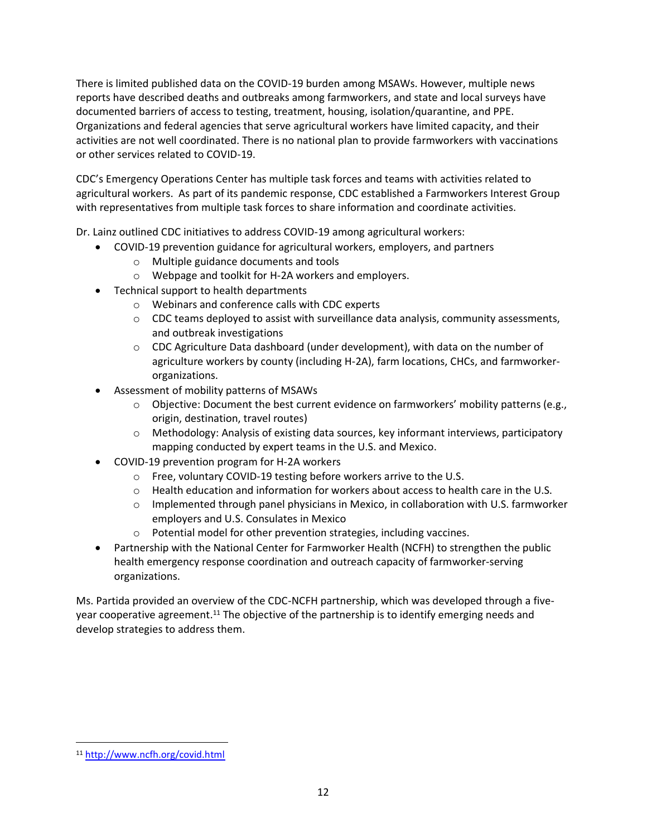There is limited published data on the COVID-19 burden among MSAWs. However, multiple news reports have described deaths and outbreaks among farmworkers, and state and local surveys have documented barriers of access to testing, treatment, housing, isolation/quarantine, and PPE. Organizations and federal agencies that serve agricultural workers have limited capacity, and their activities are not well coordinated. There is no national plan to provide farmworkers with vaccinations or other services related to COVID-19.

CDC's Emergency Operations Center has multiple task forces and teams with activities related to agricultural workers. As part of its pandemic response, CDC established a Farmworkers Interest Group with representatives from multiple task forces to share information and coordinate activities.

Dr. Lainz outlined CDC initiatives to address COVID-19 among agricultural workers:

- COVID-19 prevention guidance for agricultural workers, employers, and partners
	- Multiple guidance documents and tools
	- Webpage and toolkit for H-2A workers and employers.
- Technical support to health departments
	- Webinars and conference calls with CDC experts
	- CDC teams deployed to assist with surveillance data analysis, community assessments, and outbreak investigations
	- CDC Agriculture Data dashboard (under development), with data on the number of agriculture workers by county (including H-2A), farm locations, CHCs, and farmworkerorganizations.
- Assessment of mobility patterns of MSAWs
	- Objective: Document the best current evidence on farmworkers' mobility patterns (e.g., origin, destination, travel routes)
	- Methodology: Analysis of existing data sources, key informant interviews, participatory mapping conducted by expert teams in the U.S. and Mexico.
- COVID-19 prevention program for H-2A workers
	- Free, voluntary COVID-19 testing before workers arrive to the U.S.
	- Health education and information for workers about access to health care in the U.S.
	- Implemented through panel physicians in Mexico, in collaboration with U.S. farmworker employers and U.S. Consulates in Mexico
	- Potential model for other prevention strategies, including vaccines.
- Partnership with the National Center for Farmworker Health (NCFH) to strengthen the public health emergency response coordination and outreach capacity of farmworker-serving organizations.

Ms. Partida provided an overview of the CDC-NCFH partnership, which was developed through a fiveyear cooperative agreement.<sup>11</sup> The objective of the partnership is to identify emerging needs and develop strategies to address them.

<sup>11</sup> <http://www.ncfh.org/covid.html>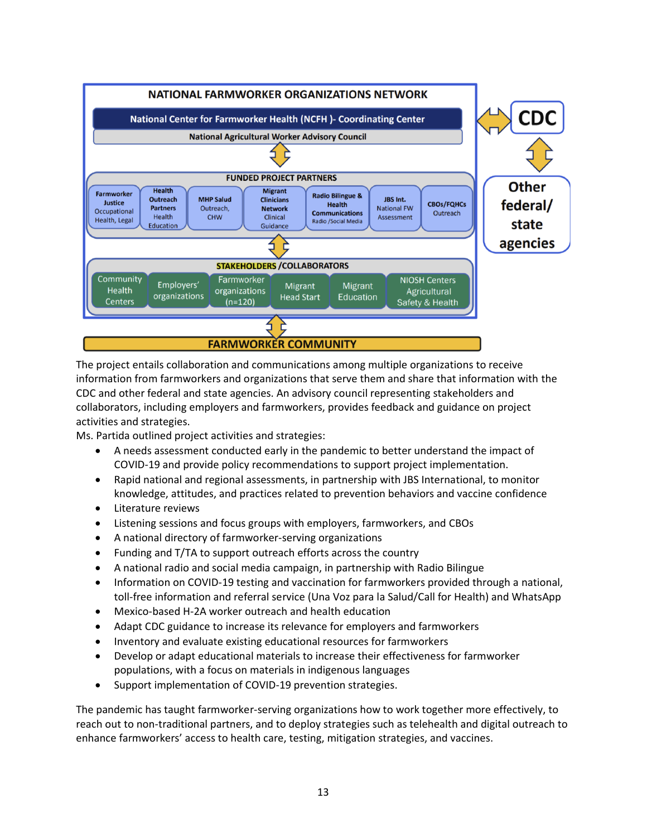

The project entails collaboration and communications among multiple organizations to receive information from farmworkers and organizations that serve them and share that information with the CDC and other federal and state agencies. An advisory council representing stakeholders and collaborators, including employers and farmworkers, provides feedback and guidance on project activities and strategies.

Ms. Partida outlined project activities and strategies:

- A needs assessment conducted early in the pandemic to better understand the impact of COVID-19 and provide policy recommendations to support project implementation.
- Rapid national and regional assessments, in partnership with JBS International, to monitor knowledge, attitudes, and practices related to prevention behaviors and vaccine confidence
- Literature reviews
- Listening sessions and focus groups with employers, farmworkers, and CBOs
- A national directory of farmworker-serving organizations
- Funding and T/TA to support outreach efforts across the country
- A national radio and social media campaign, in partnership with Radio Bilingue
- Information on COVID-19 testing and vaccination for farmworkers provided through a national, toll-free information and referral service (Una Voz para la Salud/Call for Health) and WhatsApp
- Mexico-based H-2A worker outreach and health education
- Adapt CDC guidance to increase its relevance for employers and farmworkers
- Inventory and evaluate existing educational resources for farmworkers
- Develop or adapt educational materials to increase their effectiveness for farmworker populations, with a focus on materials in indigenous languages
- Support implementation of COVID-19 prevention strategies.

The pandemic has taught farmworker-serving organizations how to work together more effectively, to reach out to non-traditional partners, and to deploy strategies such as telehealth and digital outreach to enhance farmworkers' access to health care, testing, mitigation strategies, and vaccines.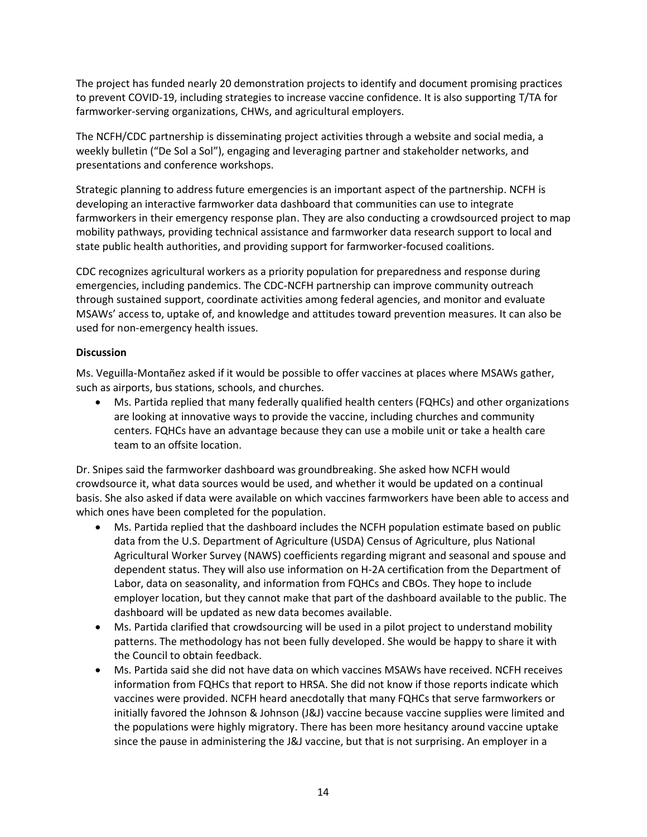The project has funded nearly 20 demonstration projects to identify and document promising practices to prevent COVID-19, including strategies to increase vaccine confidence. It is also supporting T/TA for farmworker-serving organizations, CHWs, and agricultural employers.

The NCFH/CDC partnership is disseminating project activities through a website and social media, a weekly bulletin ("De Sol a Sol"), engaging and leveraging partner and stakeholder networks, and presentations and conference workshops.

Strategic planning to address future emergencies is an important aspect of the partnership. NCFH is developing an interactive farmworker data dashboard that communities can use to integrate farmworkers in their emergency response plan. They are also conducting a crowdsourced project to map mobility pathways, providing technical assistance and farmworker data research support to local and state public health authorities, and providing support for farmworker-focused coalitions.

CDC recognizes agricultural workers as a priority population for preparedness and response during emergencies, including pandemics. The CDC-NCFH partnership can improve community outreach through sustained support, coordinate activities among federal agencies, and monitor and evaluate MSAWs' access to, uptake of, and knowledge and attitudes toward prevention measures. It can also be used for non-emergency health issues.

#### **Discussion**

Ms. Veguilla-Montañez asked if it would be possible to offer vaccines at places where MSAWs gather, such as airports, bus stations, schools, and churches.

• Ms. Partida replied that many federally qualified health centers (FQHCs) and other organizations are looking at innovative ways to provide the vaccine, including churches and community centers. FQHCs have an advantage because they can use a mobile unit or take a health care team to an offsite location.

Dr. Snipes said the farmworker dashboard was groundbreaking. She asked how NCFH would crowdsource it, what data sources would be used, and whether it would be updated on a continual basis. She also asked if data were available on which vaccines farmworkers have been able to access and which ones have been completed for the population.

- Ms. Partida replied that the dashboard includes the NCFH population estimate based on public data from the U.S. Department of Agriculture (USDA) Census of Agriculture, plus National Agricultural Worker Survey (NAWS) coefficients regarding migrant and seasonal and spouse and dependent status. They will also use information on H-2A certification from the Department of Labor, data on seasonality, and information from FQHCs and CBOs. They hope to include employer location, but they cannot make that part of the dashboard available to the public. The dashboard will be updated as new data becomes available.
- Ms. Partida clarified that crowdsourcing will be used in a pilot project to understand mobility patterns. The methodology has not been fully developed. She would be happy to share it with the Council to obtain feedback.
- Ms. Partida said she did not have data on which vaccines MSAWs have received. NCFH receives information from FQHCs that report to HRSA. She did not know if those reports indicate which vaccines were provided. NCFH heard anecdotally that many FQHCs that serve farmworkers or initially favored the Johnson & Johnson (J&J) vaccine because vaccine supplies were limited and the populations were highly migratory. There has been more hesitancy around vaccine uptake since the pause in administering the J&J vaccine, but that is not surprising. An employer in a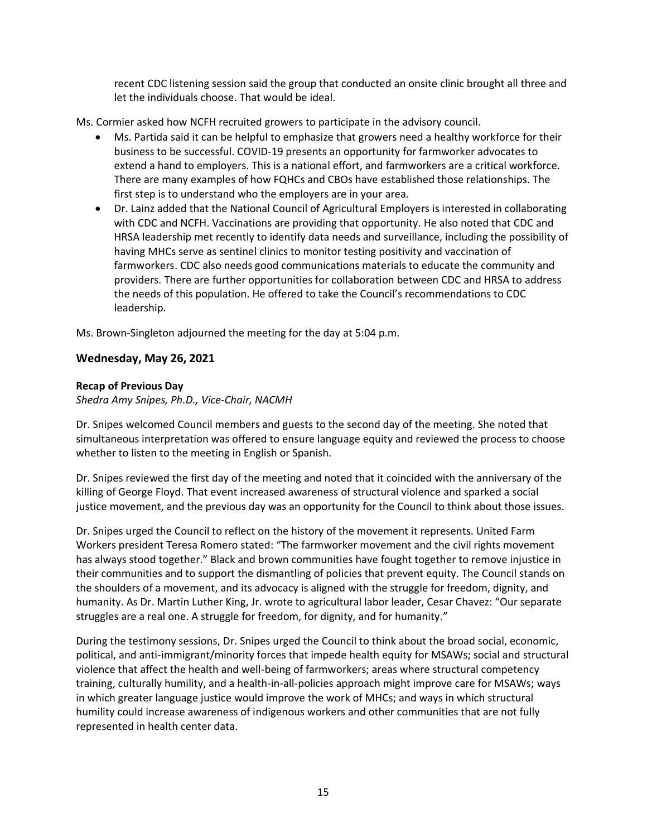recent CDC listening session said the group that conducted an onsite clinic brought all three and let the individuals choose. That would be ideal.

Ms. Cormier asked how NCFH recruited growers to participate in the advisory council.

- Ms. Partida said it can be helpful to emphasize that growers need a healthy workforce for their business to be successful. COVID-19 presents an opportunity for farmworker advocates to extend a hand to employers. This is a national effort, and farmworkers are a critical workforce. There are many examples of how FQHCs and CBOs have established those relationships. The first step is to understand who the employers are in your area.
- Dr. Lainz added that the National Council of Agricultural Employers is interested in collaborating with CDC and NCFH. Vaccinations are providing that opportunity. He also noted that CDC and HRSA leadership met recently to identify data needs and surveillance, including the possibility of having MHCs serve as sentinel clinics to monitor testing positivity and vaccination of farmworkers. CDC also needs good communications materials to educate the community and providers. There are further opportunities for collaboration between CDC and HRSA to address the needs of this population. He offered to take the Council's recommendations to CDC leadership.

Ms. Brown-Singleton adjourned the meeting for the day at 5:04 p.m.

#### **Wednesday, May 26, 2021**

#### **Recap of Previous Day**

*Shedra Amy Snipes, Ph.D., Vice-Chair, NACMH*

Dr. Snipes welcomed Council members and guests to the second day of the meeting. She noted that simultaneous interpretation was offered to ensure language equity and reviewed the process to choose whether to listen to the meeting in English or Spanish.

Dr. Snipes reviewed the first day of the meeting and noted that it coincided with the anniversary of the killing of George Floyd. That event increased awareness of structural violence and sparked a social justice movement, and the previous day was an opportunity for the Council to think about those issues.

Dr. Snipes urged the Council to reflect on the history of the movement it represents. United Farm Workers president Teresa Romero stated: "The farmworker movement and the civil rights movement has always stood together." Black and brown communities have fought together to remove injustice in their communities and to support the dismantling of policies that prevent equity. The Council stands on the shoulders of a movement, and its advocacy is aligned with the struggle for freedom, dignity, and humanity. As Dr. Martin Luther King, Jr. wrote to agricultural labor leader, Cesar Chavez: "Our separate struggles are a real one. A struggle for freedom, for dignity, and for humanity."

During the testimony sessions, Dr. Snipes urged the Council to think about the broad social, economic, political, and anti-immigrant/minority forces that impede health equity for MSAWs; social and structural violence that affect the health and well-being of farmworkers; areas where structural competency training, culturally humility, and a health-in-all-policies approach might improve care for MSAWs; ways in which greater language justice would improve the work of MHCs; and ways in which structural humility could increase awareness of indigenous workers and other communities that are not fully represented in health center data.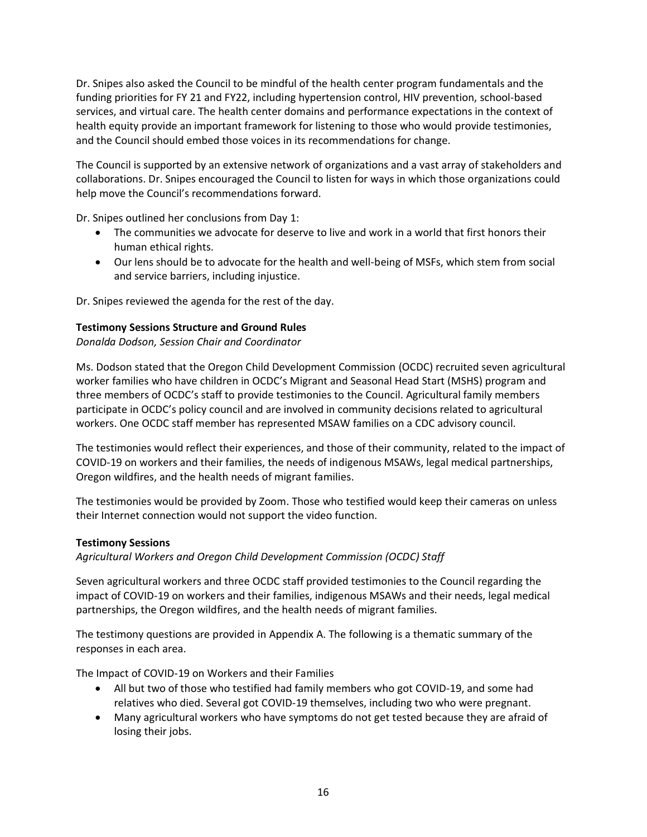Dr. Snipes also asked the Council to be mindful of the health center program fundamentals and the funding priorities for FY 21 and FY22, including hypertension control, HIV prevention, school-based services, and virtual care. The health center domains and performance expectations in the context of health equity provide an important framework for listening to those who would provide testimonies, and the Council should embed those voices in its recommendations for change.

The Council is supported by an extensive network of organizations and a vast array of stakeholders and collaborations. Dr. Snipes encouraged the Council to listen for ways in which those organizations could help move the Council's recommendations forward.

Dr. Snipes outlined her conclusions from Day 1:

- The communities we advocate for deserve to live and work in a world that first honors their human ethical rights.
- Our lens should be to advocate for the health and well-being of MSFs, which stem from social and service barriers, including injustice.

Dr. Snipes reviewed the agenda for the rest of the day.

#### **Testimony Sessions Structure and Ground Rules**

*Donalda Dodson, Session Chair and Coordinator*

Ms. Dodson stated that the Oregon Child Development Commission (OCDC) recruited seven agricultural worker families who have children in OCDC's Migrant and Seasonal Head Start (MSHS) program and three members of OCDC's staff to provide testimonies to the Council. Agricultural family members participate in OCDC's policy council and are involved in community decisions related to agricultural workers. One OCDC staff member has represented MSAW families on a CDC advisory council.

The testimonies would reflect their experiences, and those of their community, related to the impact of COVID-19 on workers and their families, the needs of indigenous MSAWs, legal medical partnerships, Oregon wildfires, and the health needs of migrant families.

The testimonies would be provided by Zoom. Those who testified would keep their cameras on unless their Internet connection would not support the video function.

#### **Testimony Sessions**

*Agricultural Workers and Oregon Child Development Commission (OCDC) Staff*

Seven agricultural workers and three OCDC staff provided testimonies to the Council regarding the impact of COVID-19 on workers and their families, indigenous MSAWs and their needs, legal medical partnerships, the Oregon wildfires, and the health needs of migrant families.

The testimony questions are provided in Appendix A. The following is a thematic summary of the responses in each area.

The Impact of COVID-19 on Workers and their Families

- All but two of those who testified had family members who got COVID-19, and some had relatives who died. Several got COVID-19 themselves, including two who were pregnant.
- Many agricultural workers who have symptoms do not get tested because they are afraid of losing their jobs.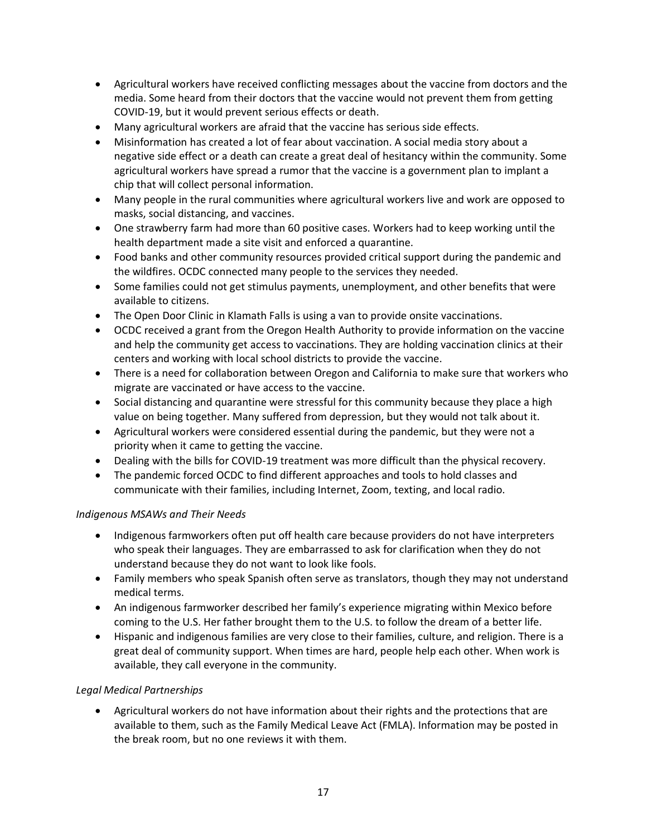- Agricultural workers have received conflicting messages about the vaccine from doctors and the media. Some heard from their doctors that the vaccine would not prevent them from getting COVID-19, but it would prevent serious effects or death.
- Many agricultural workers are afraid that the vaccine has serious side effects.
- Misinformation has created a lot of fear about vaccination. A social media story about a negative side effect or a death can create a great deal of hesitancy within the community. Some agricultural workers have spread a rumor that the vaccine is a government plan to implant a chip that will collect personal information.
- Many people in the rural communities where agricultural workers live and work are opposed to masks, social distancing, and vaccines.
- One strawberry farm had more than 60 positive cases. Workers had to keep working until the health department made a site visit and enforced a quarantine.
- Food banks and other community resources provided critical support during the pandemic and the wildfires. OCDC connected many people to the services they needed.
- Some families could not get stimulus payments, unemployment, and other benefits that were available to citizens.
- The Open Door Clinic in Klamath Falls is using a van to provide onsite vaccinations.
- OCDC received a grant from the Oregon Health Authority to provide information on the vaccine and help the community get access to vaccinations. They are holding vaccination clinics at their centers and working with local school districts to provide the vaccine.
- There is a need for collaboration between Oregon and California to make sure that workers who migrate are vaccinated or have access to the vaccine.
- Social distancing and quarantine were stressful for this community because they place a high value on being together. Many suffered from depression, but they would not talk about it.
- Agricultural workers were considered essential during the pandemic, but they were not a priority when it came to getting the vaccine.
- Dealing with the bills for COVID-19 treatment was more difficult than the physical recovery.
- The pandemic forced OCDC to find different approaches and tools to hold classes and communicate with their families, including Internet, Zoom, texting, and local radio.

## *Indigenous MSAWs and Their Needs*

- Indigenous farmworkers often put off health care because providers do not have interpreters who speak their languages. They are embarrassed to ask for clarification when they do not understand because they do not want to look like fools.
- Family members who speak Spanish often serve as translators, though they may not understand medical terms.
- An indigenous farmworker described her family's experience migrating within Mexico before coming to the U.S. Her father brought them to the U.S. to follow the dream of a better life.
- Hispanic and indigenous families are very close to their families, culture, and religion. There is a great deal of community support. When times are hard, people help each other. When work is available, they call everyone in the community.

## *Legal Medical Partnerships*

• Agricultural workers do not have information about their rights and the protections that are available to them, such as the Family Medical Leave Act (FMLA). Information may be posted in the break room, but no one reviews it with them.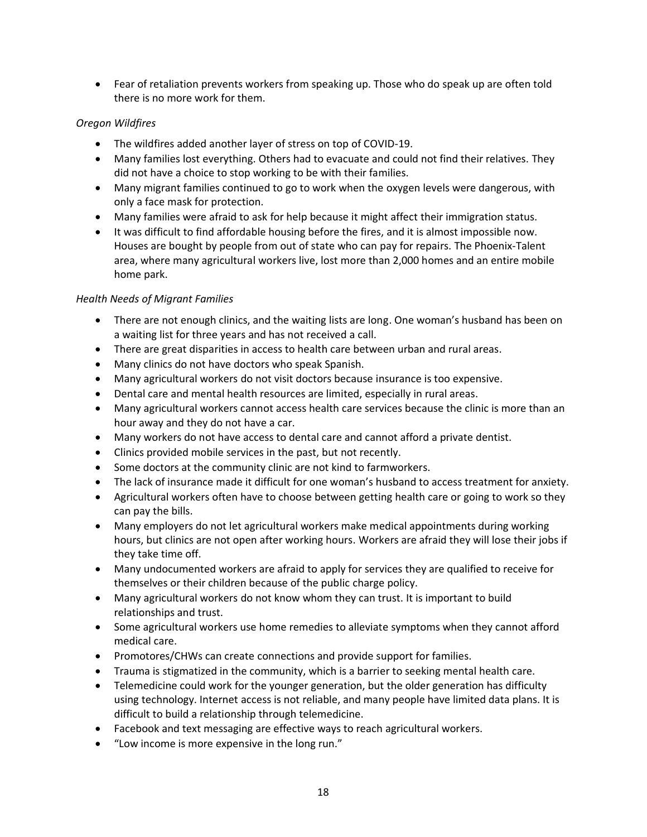• Fear of retaliation prevents workers from speaking up. Those who do speak up are often told there is no more work for them.

#### *Oregon Wildfires*

- The wildfires added another layer of stress on top of COVID-19.
- Many families lost everything. Others had to evacuate and could not find their relatives. They did not have a choice to stop working to be with their families.
- Many migrant families continued to go to work when the oxygen levels were dangerous, with only a face mask for protection.
- Many families were afraid to ask for help because it might affect their immigration status.
- It was difficult to find affordable housing before the fires, and it is almost impossible now. Houses are bought by people from out of state who can pay for repairs. The Phoenix-Talent area, where many agricultural workers live, lost more than 2,000 homes and an entire mobile home park.

#### *Health Needs of Migrant Families*

- There are not enough clinics, and the waiting lists are long. One woman's husband has been on a waiting list for three years and has not received a call.
- There are great disparities in access to health care between urban and rural areas.
- Many clinics do not have doctors who speak Spanish.
- Many agricultural workers do not visit doctors because insurance is too expensive.
- Dental care and mental health resources are limited, especially in rural areas.
- Many agricultural workers cannot access health care services because the clinic is more than an hour away and they do not have a car.
- Many workers do not have access to dental care and cannot afford a private dentist.
- Clinics provided mobile services in the past, but not recently.
- Some doctors at the community clinic are not kind to farmworkers.
- The lack of insurance made it difficult for one woman's husband to access treatment for anxiety.
- Agricultural workers often have to choose between getting health care or going to work so they can pay the bills.
- Many employers do not let agricultural workers make medical appointments during working hours, but clinics are not open after working hours. Workers are afraid they will lose their jobs if they take time off.
- Many undocumented workers are afraid to apply for services they are qualified to receive for themselves or their children because of the public charge policy.
- Many agricultural workers do not know whom they can trust. It is important to build relationships and trust.
- Some agricultural workers use home remedies to alleviate symptoms when they cannot afford medical care.
- Promotores/CHWs can create connections and provide support for families.
- Trauma is stigmatized in the community, which is a barrier to seeking mental health care.
- Telemedicine could work for the younger generation, but the older generation has difficulty using technology. Internet access is not reliable, and many people have limited data plans. It is difficult to build a relationship through telemedicine.
- Facebook and text messaging are effective ways to reach agricultural workers.
- "Low income is more expensive in the long run."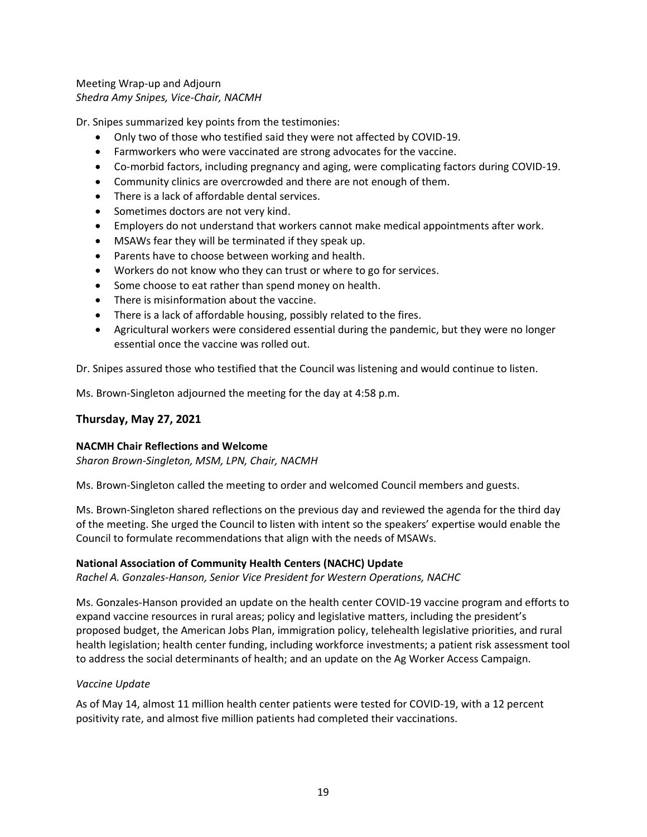#### Meeting Wrap-up and Adjourn *Shedra Amy Snipes, Vice-Chair, NACMH*

Dr. Snipes summarized key points from the testimonies:

- Only two of those who testified said they were not affected by COVID-19.
- Farmworkers who were vaccinated are strong advocates for the vaccine.
- Co-morbid factors, including pregnancy and aging, were complicating factors during COVID-19.
- Community clinics are overcrowded and there are not enough of them.
- There is a lack of affordable dental services.
- Sometimes doctors are not very kind.
- Employers do not understand that workers cannot make medical appointments after work.
- MSAWs fear they will be terminated if they speak up.
- Parents have to choose between working and health.
- Workers do not know who they can trust or where to go for services.
- Some choose to eat rather than spend money on health.
- There is misinformation about the vaccine.
- There is a lack of affordable housing, possibly related to the fires.
- Agricultural workers were considered essential during the pandemic, but they were no longer essential once the vaccine was rolled out.

Dr. Snipes assured those who testified that the Council was listening and would continue to listen.

Ms. Brown-Singleton adjourned the meeting for the day at 4:58 p.m.

#### **Thursday, May 27, 2021**

#### **NACMH Chair Reflections and Welcome**

*Sharon Brown-Singleton, MSM, LPN, Chair, NACMH*

Ms. Brown-Singleton called the meeting to order and welcomed Council members and guests.

Ms. Brown-Singleton shared reflections on the previous day and reviewed the agenda for the third day of the meeting. She urged the Council to listen with intent so the speakers' expertise would enable the Council to formulate recommendations that align with the needs of MSAWs.

#### **National Association of Community Health Centers (NACHC) Update**

*Rachel A. Gonzales-Hanson, Senior Vice President for Western Operations, NACHC*

Ms. Gonzales-Hanson provided an update on the health center COVID-19 vaccine program and efforts to expand vaccine resources in rural areas; policy and legislative matters, including the president's proposed budget, the American Jobs Plan, immigration policy, telehealth legislative priorities, and rural health legislation; health center funding, including workforce investments; a patient risk assessment tool to address the social determinants of health; and an update on the Ag Worker Access Campaign.

#### *Vaccine Update*

As of May 14, almost 11 million health center patients were tested for COVID-19, with a 12 percent positivity rate, and almost five million patients had completed their vaccinations.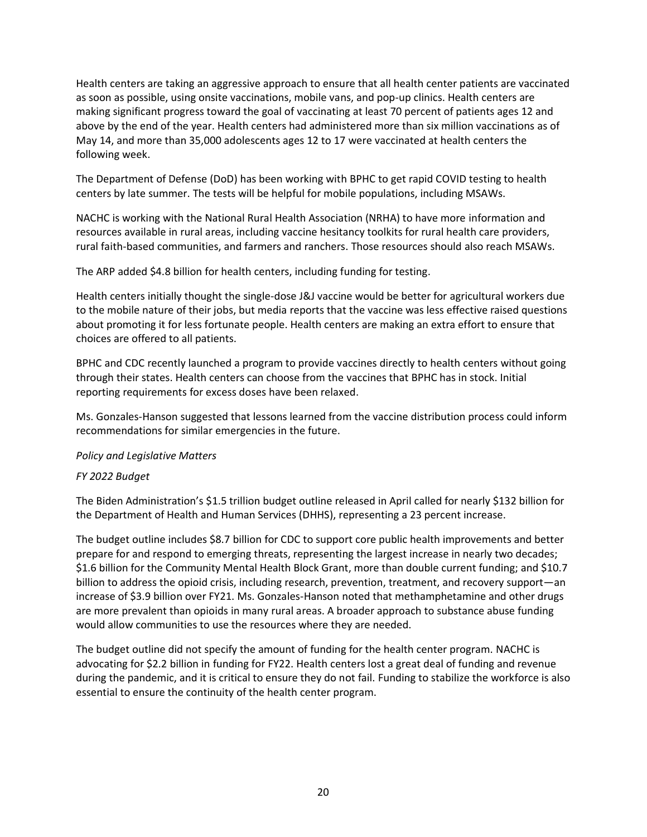Health centers are taking an aggressive approach to ensure that all health center patients are vaccinated as soon as possible, using onsite vaccinations, mobile vans, and pop-up clinics. Health centers are making significant progress toward the goal of vaccinating at least 70 percent of patients ages 12 and above by the end of the year. Health centers had administered more than six million vaccinations as of May 14, and more than 35,000 adolescents ages 12 to 17 were vaccinated at health centers the following week.

The Department of Defense (DoD) has been working with BPHC to get rapid COVID testing to health centers by late summer. The tests will be helpful for mobile populations, including MSAWs.

NACHC is working with the National Rural Health Association (NRHA) to have more information and resources available in rural areas, including vaccine hesitancy toolkits for rural health care providers, rural faith-based communities, and farmers and ranchers. Those resources should also reach MSAWs.

The ARP added \$4.8 billion for health centers, including funding for testing.

Health centers initially thought the single-dose J&J vaccine would be better for agricultural workers due to the mobile nature of their jobs, but media reports that the vaccine was less effective raised questions about promoting it for less fortunate people. Health centers are making an extra effort to ensure that choices are offered to all patients.

BPHC and CDC recently launched a program to provide vaccines directly to health centers without going through their states. Health centers can choose from the vaccines that BPHC has in stock. Initial reporting requirements for excess doses have been relaxed.

Ms. Gonzales-Hanson suggested that lessons learned from the vaccine distribution process could inform recommendations for similar emergencies in the future.

*Policy and Legislative Matters*

#### *FY 2022 Budget*

The Biden Administration's \$1.5 trillion budget outline released in April called for nearly \$132 billion for the Department of Health and Human Services (DHHS), representing a 23 percent increase.

The budget outline includes \$8.7 billion for CDC to support core public health improvements and better prepare for and respond to emerging threats, representing the largest increase in nearly two decades; \$1.6 billion for the Community Mental Health Block Grant, more than double current funding; and \$10.7 billion to address the opioid crisis, including research, prevention, treatment, and recovery support—an increase of \$3.9 billion over FY21. Ms. Gonzales-Hanson noted that methamphetamine and other drugs are more prevalent than opioids in many rural areas. A broader approach to substance abuse funding would allow communities to use the resources where they are needed.

The budget outline did not specify the amount of funding for the health center program. NACHC is advocating for \$2.2 billion in funding for FY22. Health centers lost a great deal of funding and revenue during the pandemic, and it is critical to ensure they do not fail. Funding to stabilize the workforce is also essential to ensure the continuity of the health center program.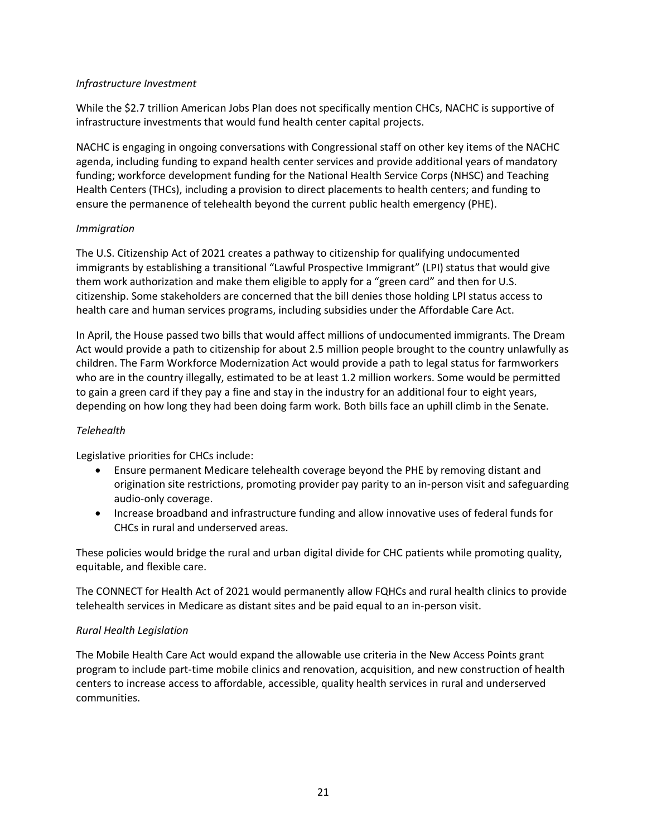#### *Infrastructure Investment*

While the \$2.7 trillion American Jobs Plan does not specifically mention CHCs, NACHC is supportive of infrastructure investments that would fund health center capital projects.

NACHC is engaging in ongoing conversations with Congressional staff on other key items of the NACHC agenda, including funding to expand health center services and provide additional years of mandatory funding; workforce development funding for the National Health Service Corps (NHSC) and Teaching Health Centers (THCs), including a provision to direct placements to health centers; and funding to ensure the permanence of telehealth beyond the current public health emergency (PHE).

#### *Immigration*

The U.S. Citizenship Act of 2021 creates a pathway to citizenship for qualifying undocumented immigrants by establishing a transitional "Lawful Prospective Immigrant" (LPI) status that would give them work authorization and make them eligible to apply for a "green card" and then for U.S. citizenship. Some stakeholders are concerned that the bill denies those holding LPI status access to health care and human services programs, including subsidies under the Affordable Care Act.

In April, the House passed two bills that would affect millions of undocumented immigrants. The Dream Act would provide a path to citizenship for about 2.5 million people brought to the country unlawfully as children. The Farm Workforce Modernization Act would provide a path to legal status for farmworkers who are in the country illegally, estimated to be at least 1.2 million workers. Some would be permitted to gain a green card if they pay a fine and stay in the industry for an additional four to eight years, depending on how long they had been doing farm work. Both bills face an uphill climb in the Senate.

## *Telehealth*

Legislative priorities for CHCs include:

- Ensure permanent Medicare telehealth coverage beyond the PHE by removing distant and origination site restrictions, promoting provider pay parity to an in-person visit and safeguarding audio-only coverage.
- Increase broadband and infrastructure funding and allow innovative uses of federal funds for CHCs in rural and underserved areas.

These policies would bridge the rural and urban digital divide for CHC patients while promoting quality, equitable, and flexible care.

The CONNECT for Health Act of 2021 would permanently allow FQHCs and rural health clinics to provide telehealth services in Medicare as distant sites and be paid equal to an in-person visit.

## *Rural Health Legislation*

The Mobile Health Care Act would expand the allowable use criteria in the New Access Points grant program to include part-time mobile clinics and renovation, acquisition, and new construction of health centers to increase access to affordable, accessible, quality health services in rural and underserved communities.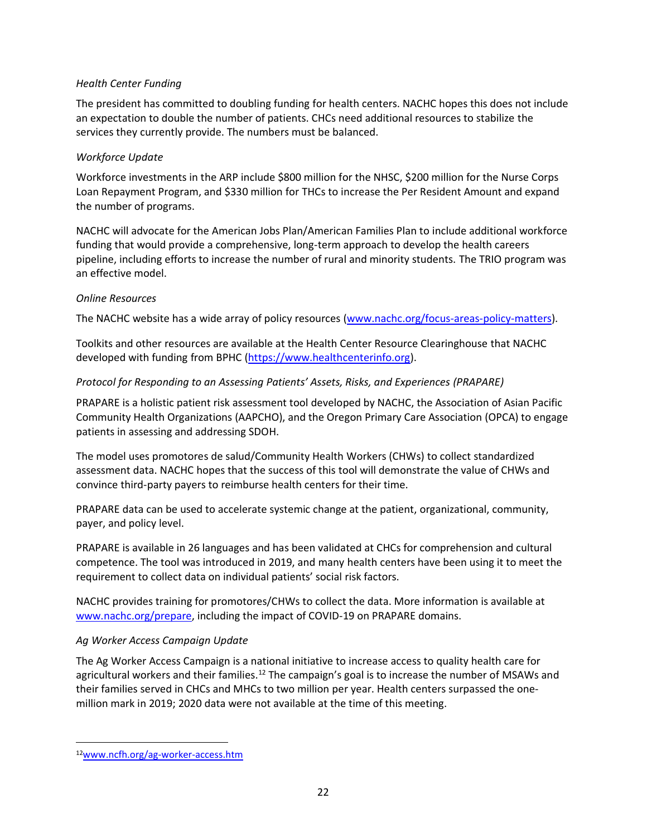#### *Health Center Funding*

The president has committed to doubling funding for health centers. NACHC hopes this does not include an expectation to double the number of patients. CHCs need additional resources to stabilize the services they currently provide. The numbers must be balanced.

#### *Workforce Update*

Workforce investments in the ARP include \$800 million for the NHSC, \$200 million for the Nurse Corps Loan Repayment Program, and \$330 million for THCs to increase the Per Resident Amount and expand the number of programs.

NACHC will advocate for the American Jobs Plan/American Families Plan to include additional workforce funding that would provide a comprehensive, long-term approach to develop the health careers pipeline, including efforts to increase the number of rural and minority students. The TRIO program was an effective model.

#### *Online Resources*

The NACHC website has a wide array of policy resources [\(www.nachc.org/focus-areas-policy-matters\)](http://www.nachc.org/focus-areas-policy-matters).

Toolkits and other resources are available at the Health Center Resource Clearinghouse that NACHC developed with funding from BPHC [\(https://www.healthcenterinfo.org\)](https://www.healthcenterinfo.org/).

#### *Protocol for Responding to an Assessing Patients' Assets, Risks, and Experiences (PRAPARE)*

PRAPARE is a holistic patient risk assessment tool developed by NACHC, the Association of Asian Pacific Community Health Organizations (AAPCHO), and the Oregon Primary Care Association (OPCA) to engage patients in assessing and addressing SDOH.

The model uses promotores de salud/Community Health Workers (CHWs) to collect standardized assessment data. NACHC hopes that the success of this tool will demonstrate the value of CHWs and convince third-party payers to reimburse health centers for their time.

PRAPARE data can be used to accelerate systemic change at the patient, organizational, community, payer, and policy level.

PRAPARE is available in 26 languages and has been validated at CHCs for comprehension and cultural competence. The tool was introduced in 2019, and many health centers have been using it to meet the requirement to collect data on individual patients' social risk factors.

NACHC provides training for promotores/CHWs to collect the data. More information is available at [www.nachc.org/prepare,](http://www.nachc.org/prepare) including the impact of COVID-19 on PRAPARE domains.

#### *Ag Worker Access Campaign Update*

The Ag Worker Access Campaign is a national initiative to increase access to quality health care for agricultural workers and their families.<sup>12</sup> The campaign's goal is to increase the number of MSAWs and their families served in CHCs and MHCs to two million per year. Health centers surpassed the onemillion mark in 2019; 2020 data were not available at the time of this meeting.

<sup>12</sup>[www.ncfh.org/ag-worker-access.htm](http://www.ncfh.org/ag-worker-access.html)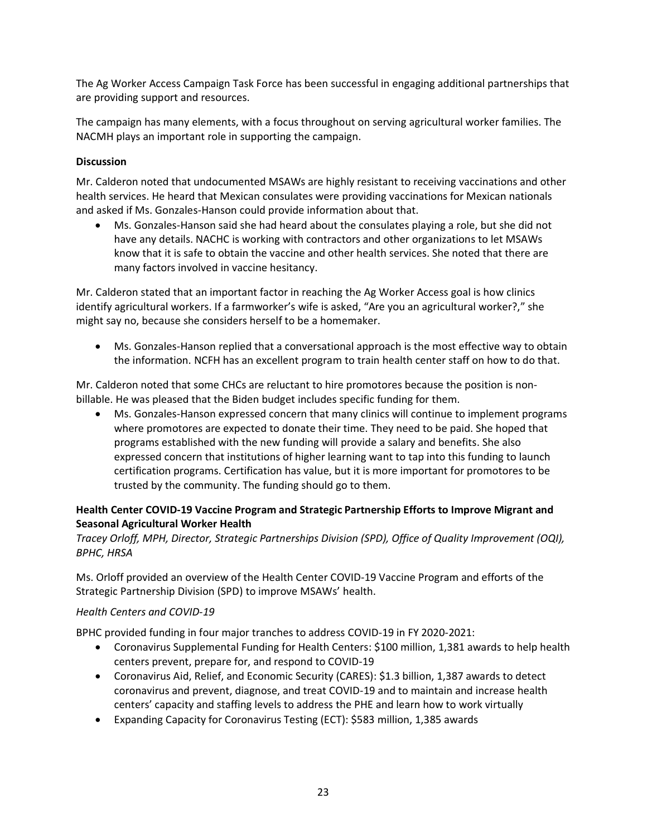The Ag Worker Access Campaign Task Force has been successful in engaging additional partnerships that are providing support and resources.

The campaign has many elements, with a focus throughout on serving agricultural worker families. The NACMH plays an important role in supporting the campaign.

#### **Discussion**

Mr. Calderon noted that undocumented MSAWs are highly resistant to receiving vaccinations and other health services. He heard that Mexican consulates were providing vaccinations for Mexican nationals and asked if Ms. Gonzales-Hanson could provide information about that.

• Ms. Gonzales-Hanson said she had heard about the consulates playing a role, but she did not have any details. NACHC is working with contractors and other organizations to let MSAWs know that it is safe to obtain the vaccine and other health services. She noted that there are many factors involved in vaccine hesitancy.

Mr. Calderon stated that an important factor in reaching the Ag Worker Access goal is how clinics identify agricultural workers. If a farmworker's wife is asked, "Are you an agricultural worker?," she might say no, because she considers herself to be a homemaker.

• Ms. Gonzales-Hanson replied that a conversational approach is the most effective way to obtain the information. NCFH has an excellent program to train health center staff on how to do that.

Mr. Calderon noted that some CHCs are reluctant to hire promotores because the position is nonbillable. He was pleased that the Biden budget includes specific funding for them.

• Ms. Gonzales-Hanson expressed concern that many clinics will continue to implement programs where promotores are expected to donate their time. They need to be paid. She hoped that programs established with the new funding will provide a salary and benefits. She also expressed concern that institutions of higher learning want to tap into this funding to launch certification programs. Certification has value, but it is more important for promotores to be trusted by the community. The funding should go to them.

## **Health Center COVID-19 Vaccine Program and Strategic Partnership Efforts to Improve Migrant and Seasonal Agricultural Worker Health**

## *Tracey Orloff, MPH, Director, Strategic Partnerships Division (SPD), Office of Quality Improvement (OQI), BPHC, HRSA*

Ms. Orloff provided an overview of the Health Center COVID-19 Vaccine Program and efforts of the Strategic Partnership Division (SPD) to improve MSAWs' health.

#### *Health Centers and COVID-19*

BPHC provided funding in four major tranches to address COVID-19 in FY 2020-2021:

- Coronavirus Supplemental Funding for Health Centers: \$100 million, 1,381 awards to help health centers prevent, prepare for, and respond to COVID-19
- Coronavirus Aid, Relief, and Economic Security (CARES): \$1.3 billion, 1,387 awards to detect coronavirus and prevent, diagnose, and treat COVID-19 and to maintain and increase health centers' capacity and staffing levels to address the PHE and learn how to work virtually
- Expanding Capacity for Coronavirus Testing (ECT): \$583 million, 1,385 awards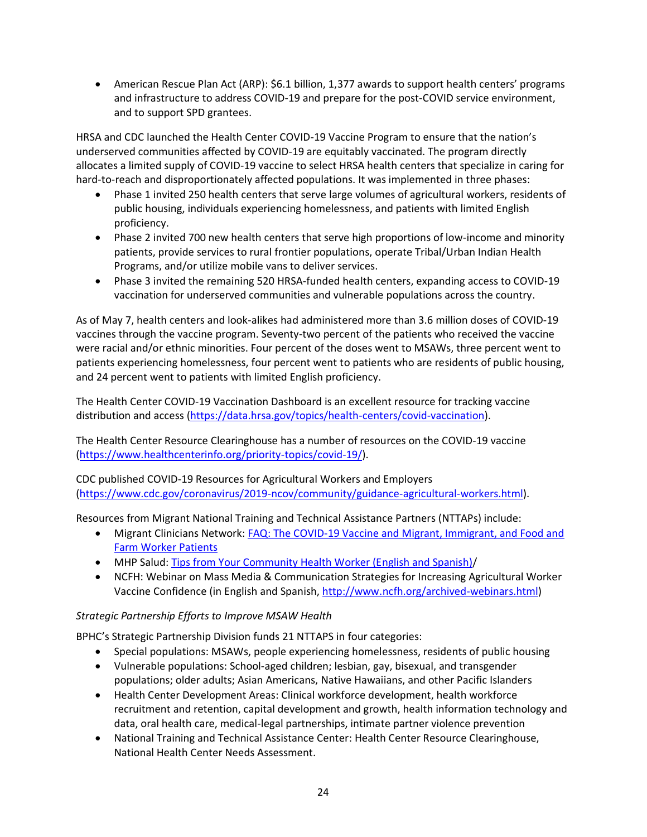• American Rescue Plan Act (ARP): \$6.1 billion, 1,377 awards to support health centers' programs and infrastructure to address COVID-19 and prepare for the post-COVID service environment, and to support SPD grantees.

HRSA and CDC launched the Health Center COVID-19 Vaccine Program to ensure that the nation's underserved communities affected by COVID-19 are equitably vaccinated. The program directly allocates a limited supply of COVID-19 vaccine to select HRSA health centers that specialize in caring for hard-to-reach and disproportionately affected populations. It was implemented in three phases:

- Phase 1 invited 250 health centers that serve large volumes of agricultural workers, residents of public housing, individuals experiencing homelessness, and patients with limited English proficiency.
- Phase 2 invited 700 new health centers that serve high proportions of low-income and minority patients, provide services to rural frontier populations, operate Tribal/Urban Indian Health Programs, and/or utilize mobile vans to deliver services.
- Phase 3 invited the remaining 520 HRSA-funded health centers, expanding access to COVID-19 vaccination for underserved communities and vulnerable populations across the country.

As of May 7, health centers and look-alikes had administered more than 3.6 million doses of COVID-19 vaccines through the vaccine program. Seventy-two percent of the patients who received the vaccine were racial and/or ethnic minorities. Four percent of the doses went to MSAWs, three percent went to patients experiencing homelessness, four percent went to patients who are residents of public housing, and 24 percent went to patients with limited English proficiency.

The Health Center COVID-19 Vaccination Dashboard is an excellent resource for tracking vaccine distribution and access [\(https://data.hrsa.gov/topics/health-centers/covid-vaccination\)](https://data.hrsa.gov/topics/health-centers/covid-vaccination).

The Health Center Resource Clearinghouse has a number of resources on the COVID-19 vaccine [\(https://www.healthcenterinfo.org/priority-topics/covid-19/\)](https://www.healthcenterinfo.org/priority-topics/covid-19/covid-19-resources-promising-practices/).

CDC published COVID-19 Resources for Agricultural Workers and Employers [\(https://www.cdc.gov/coronavirus/2019-ncov/community/guidance-agricultural-workers.html\)](https://www.cdc.gov/coronavirus/2019-ncov/community/guidance-agricultural-workers.html).

Resources from Migrant National Training and Technical Assistance Partners (NTTAPs) include:

- Migrant Clinicians Network: FAQ: The COVID-19 Vaccine and Migrant, Immigrant, and Food and [Farm Worker Patients](https://www.migrantclinician.org/es/blog/2021/jan/faq-covid-19-vaccine-and-migrant-immigrant-and-food-farm-worker-patients.html)
- MHP Salud: [Tips from Your Community Health Worker \(English and Spanish\)/](https://mhpsalud.org/portfolio/covid19-vaccine)
- NCFH: Webinar on Mass Media & Communication Strategies for Increasing Agricultural Worker Vaccine Confidence (in English and Spanish, [http://www.ncfh.org/archived-webinars.html\)](http://www.ncfh.org/archived-webinars.html)

## *Strategic Partnership Efforts to Improve MSAW Health*

BPHC's Strategic Partnership Division funds 21 NTTAPS in four categories:

- Special populations: MSAWs, people experiencing homelessness, residents of public housing
- Vulnerable populations: School-aged children; lesbian, gay, bisexual, and transgender populations; older adults; Asian Americans, Native Hawaiians, and other Pacific Islanders
- Health Center Development Areas: Clinical workforce development, health workforce recruitment and retention, capital development and growth, health information technology and data, oral health care, medical-legal partnerships, intimate partner violence prevention
- National Training and Technical Assistance Center: Health Center Resource Clearinghouse, National Health Center Needs Assessment.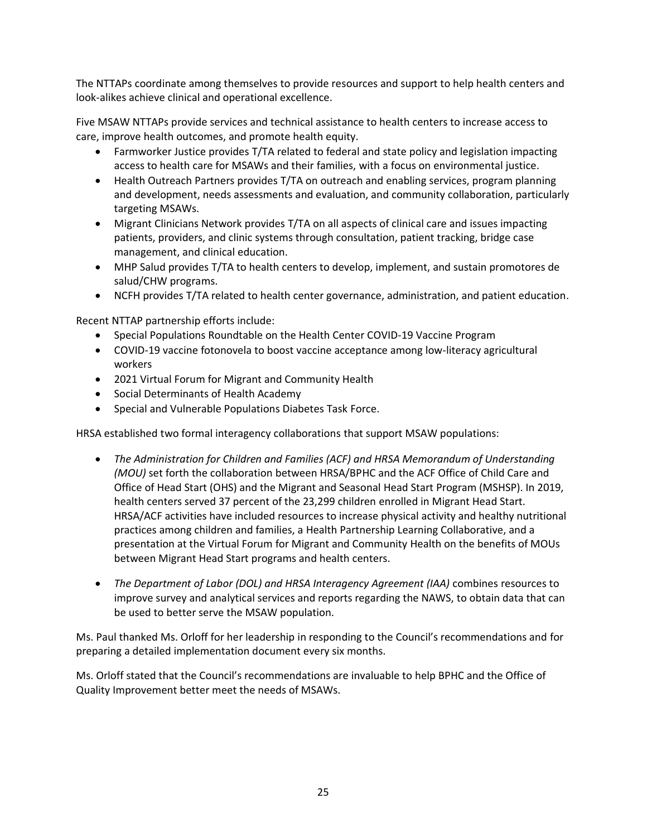The NTTAPs coordinate among themselves to provide resources and support to help health centers and look-alikes achieve clinical and operational excellence.

Five MSAW NTTAPs provide services and technical assistance to health centers to increase access to care, improve health outcomes, and promote health equity.

- Farmworker Justice provides T/TA related to federal and state policy and legislation impacting access to health care for MSAWs and their families, with a focus on environmental justice.
- Health Outreach Partners provides T/TA on outreach and enabling services, program planning and development, needs assessments and evaluation, and community collaboration, particularly targeting MSAWs.
- Migrant Clinicians Network provides T/TA on all aspects of clinical care and issues impacting patients, providers, and clinic systems through consultation, patient tracking, bridge case management, and clinical education.
- MHP Salud provides T/TA to health centers to develop, implement, and sustain promotores de salud/CHW programs.
- NCFH provides T/TA related to health center governance, administration, and patient education.

Recent NTTAP partnership efforts include:

- Special Populations Roundtable on the Health Center COVID-19 Vaccine Program
- COVID-19 vaccine fotonovela to boost vaccine acceptance among low-literacy agricultural workers
- 2021 Virtual Forum for Migrant and Community Health
- Social Determinants of Health Academy
- Special and Vulnerable Populations Diabetes Task Force.

HRSA established two formal interagency collaborations that support MSAW populations:

- *The Administration for Children and Families (ACF) and HRSA Memorandum of Understanding (MOU)* set forth the collaboration between HRSA/BPHC and the ACF Office of Child Care and Office of Head Start (OHS) and the Migrant and Seasonal Head Start Program (MSHSP). In 2019, health centers served 37 percent of the 23,299 children enrolled in Migrant Head Start. HRSA/ACF activities have included resources to increase physical activity and healthy nutritional practices among children and families, a Health Partnership Learning Collaborative, and a presentation at the Virtual Forum for Migrant and Community Health on the benefits of MOUs between Migrant Head Start programs and health centers.
- *The Department of Labor (DOL) and HRSA Interagency Agreement (IAA)* combines resources to improve survey and analytical services and reports regarding the NAWS, to obtain data that can be used to better serve the MSAW population.

Ms. Paul thanked Ms. Orloff for her leadership in responding to the Council's recommendations and for preparing a detailed implementation document every six months.

Ms. Orloff stated that the Council's recommendations are invaluable to help BPHC and the Office of Quality Improvement better meet the needs of MSAWs.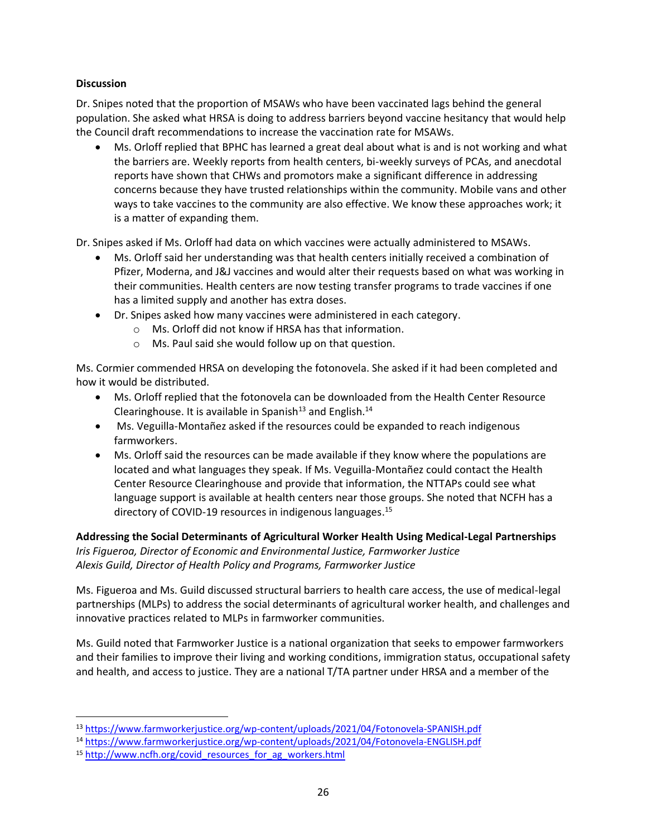#### **Discussion**

Dr. Snipes noted that the proportion of MSAWs who have been vaccinated lags behind the general population. She asked what HRSA is doing to address barriers beyond vaccine hesitancy that would help the Council draft recommendations to increase the vaccination rate for MSAWs.

• Ms. Orloff replied that BPHC has learned a great deal about what is and is not working and what the barriers are. Weekly reports from health centers, bi-weekly surveys of PCAs, and anecdotal reports have shown that CHWs and promotors make a significant difference in addressing concerns because they have trusted relationships within the community. Mobile vans and other ways to take vaccines to the community are also effective. We know these approaches work; it is a matter of expanding them.

Dr. Snipes asked if Ms. Orloff had data on which vaccines were actually administered to MSAWs.

- Ms. Orloff said her understanding was that health centers initially received a combination of Pfizer, Moderna, and J&J vaccines and would alter their requests based on what was working in their communities. Health centers are now testing transfer programs to trade vaccines if one has a limited supply and another has extra doses.
- Dr. Snipes asked how many vaccines were administered in each category.
	- Ms. Orloff did not know if HRSA has that information.
	- Ms. Paul said she would follow up on that question.

Ms. Cormier commended HRSA on developing the fotonovela. She asked if it had been completed and how it would be distributed.

- Ms. Orloff replied that the fotonovela can be downloaded from the Health Center Resource Clearinghouse. It is available in Spanish $13$  and English. $14$
- Ms. Veguilla-Montañez asked if the resources could be expanded to reach indigenous farmworkers.
- Ms. Orloff said the resources can be made available if they know where the populations are located and what languages they speak. If Ms. Veguilla-Montañez could contact the Health Center Resource Clearinghouse and provide that information, the NTTAPs could see what language support is available at health centers near those groups. She noted that NCFH has a directory of COVID-19 resources in indigenous languages.<sup>15</sup>

**Addressing the Social Determinants of Agricultural Worker Health Using Medical-Legal Partnerships**  *Iris Figueroa, Director of Economic and Environmental Justice, Farmworker Justice Alexis Guild, Director of Health Policy and Programs, Farmworker Justice* 

Ms. Figueroa and Ms. Guild discussed structural barriers to health care access, the use of medical-legal partnerships (MLPs) to address the social determinants of agricultural worker health, and challenges and innovative practices related to MLPs in farmworker communities.

Ms. Guild noted that Farmworker Justice is a national organization that seeks to empower farmworkers and their families to improve their living and working conditions, immigration status, occupational safety and health, and access to justice. They are a national T/TA partner under HRSA and a member of the

<sup>13</sup> <https://www.farmworkerjustice.org/wp-content/uploads/2021/04/Fotonovela-SPANISH.pdf>

<sup>14</sup> <https://www.farmworkerjustice.org/wp-content/uploads/2021/04/Fotonovela-ENGLISH.pdf>

<sup>15</sup> [http://www.ncfh.org/covid\\_resources\\_for\\_ag\\_workers.html](http://www.ncfh.org/covid_resources_for_ag_workers.html)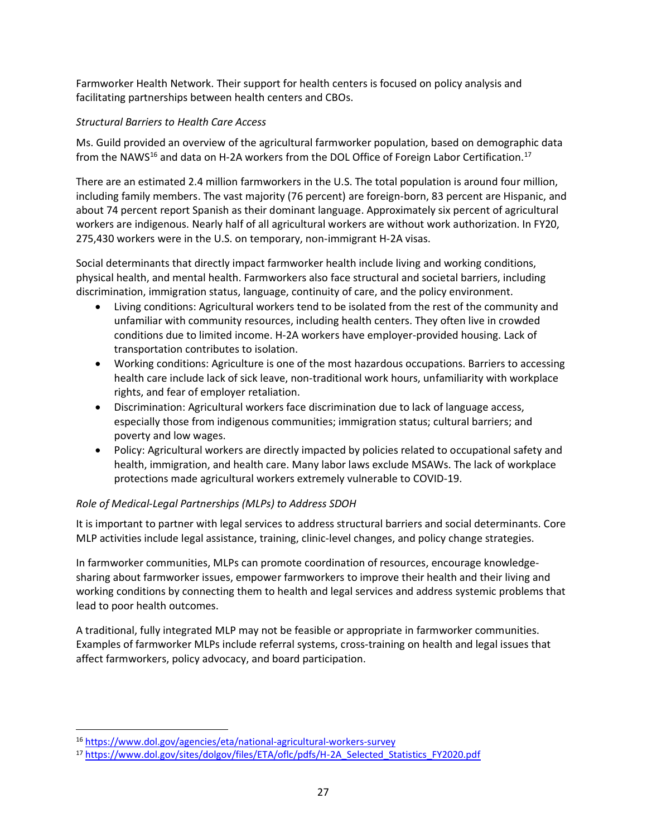Farmworker Health Network. Their support for health centers is focused on policy analysis and facilitating partnerships between health centers and CBOs.

## *Structural Barriers to Health Care Access*

Ms. Guild provided an overview of the agricultural farmworker population, based on demographic data from the NAWS<sup>16</sup> and data on H-2A workers from the DOL Office of Foreign Labor Certification.<sup>17</sup>

There are an estimated 2.4 million farmworkers in the U.S. The total population is around four million, including family members. The vast majority (76 percent) are foreign-born, 83 percent are Hispanic, and about 74 percent report Spanish as their dominant language. Approximately six percent of agricultural workers are indigenous. Nearly half of all agricultural workers are without work authorization. In FY20, 275,430 workers were in the U.S. on temporary, non-immigrant H-2A visas.

Social determinants that directly impact farmworker health include living and working conditions, physical health, and mental health. Farmworkers also face structural and societal barriers, including discrimination, immigration status, language, continuity of care, and the policy environment.

- Living conditions: Agricultural workers tend to be isolated from the rest of the community and unfamiliar with community resources, including health centers. They often live in crowded conditions due to limited income. H-2A workers have employer-provided housing. Lack of transportation contributes to isolation.
- Working conditions: Agriculture is one of the most hazardous occupations. Barriers to accessing health care include lack of sick leave, non-traditional work hours, unfamiliarity with workplace rights, and fear of employer retaliation.
- Discrimination: Agricultural workers face discrimination due to lack of language access, especially those from indigenous communities; immigration status; cultural barriers; and poverty and low wages.
- Policy: Agricultural workers are directly impacted by policies related to occupational safety and health, immigration, and health care. Many labor laws exclude MSAWs. The lack of workplace protections made agricultural workers extremely vulnerable to COVID-19.

## *Role of Medical-Legal Partnerships (MLPs) to Address SDOH*

It is important to partner with legal services to address structural barriers and social determinants. Core MLP activities include legal assistance, training, clinic-level changes, and policy change strategies.

In farmworker communities, MLPs can promote coordination of resources, encourage knowledgesharing about farmworker issues, empower farmworkers to improve their health and their living and working conditions by connecting them to health and legal services and address systemic problems that lead to poor health outcomes.

A traditional, fully integrated MLP may not be feasible or appropriate in farmworker communities. Examples of farmworker MLPs include referral systems, cross-training on health and legal issues that affect farmworkers, policy advocacy, and board participation.

<sup>16</sup> <https://www.dol.gov/agencies/eta/national-agricultural-workers-survey>

<sup>17</sup> [https://www.dol.gov/sites/dolgov/files/ETA/oflc/pdfs/H-2A\\_Selected\\_Statistics\\_FY2020.pdf](https://www.dol.gov/sites/dolgov/files/ETA/oflc/pdfs/H-2A_Selected_Statistics_FY2020.pdf)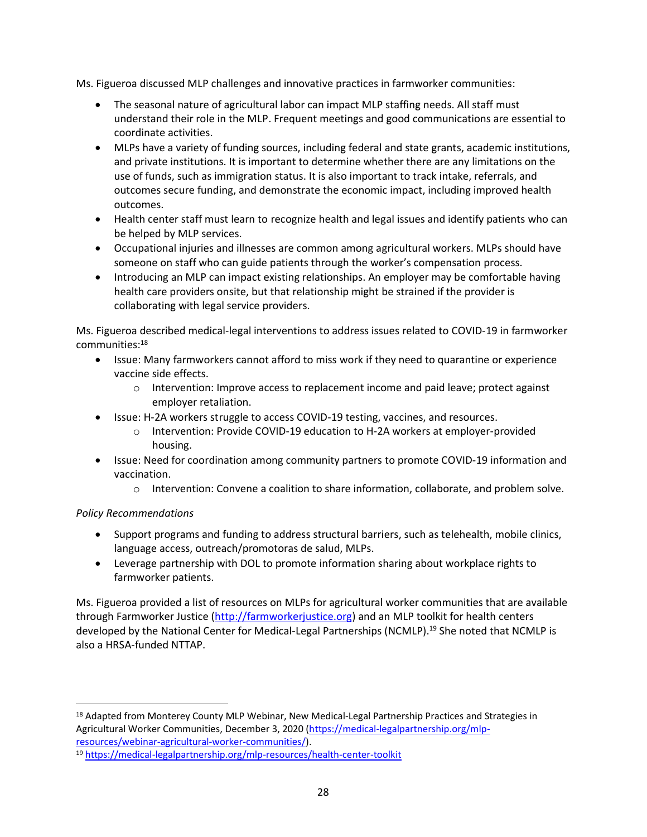Ms. Figueroa discussed MLP challenges and innovative practices in farmworker communities:

- The seasonal nature of agricultural labor can impact MLP staffing needs. All staff must understand their role in the MLP. Frequent meetings and good communications are essential to coordinate activities.
- MLPs have a variety of funding sources, including federal and state grants, academic institutions, and private institutions. It is important to determine whether there are any limitations on the use of funds, such as immigration status. It is also important to track intake, referrals, and outcomes secure funding, and demonstrate the economic impact, including improved health outcomes.
- Health center staff must learn to recognize health and legal issues and identify patients who can be helped by MLP services.
- Occupational injuries and illnesses are common among agricultural workers. MLPs should have someone on staff who can guide patients through the worker's compensation process.
- Introducing an MLP can impact existing relationships. An employer may be comfortable having health care providers onsite, but that relationship might be strained if the provider is collaborating with legal service providers.

Ms. Figueroa described medical-legal interventions to address issues related to COVID-19 in farmworker communities:<sup>18</sup>

- Issue: Many farmworkers cannot afford to miss work if they need to quarantine or experience vaccine side effects.
	- Intervention: Improve access to replacement income and paid leave; protect against employer retaliation.
- Issue: H-2A workers struggle to access COVID-19 testing, vaccines, and resources.
	- Intervention: Provide COVID-19 education to H-2A workers at employer-provided housing.
- Issue: Need for coordination among community partners to promote COVID-19 information and vaccination.
	- Intervention: Convene a coalition to share information, collaborate, and problem solve.

## *Policy Recommendations*

- Support programs and funding to address structural barriers, such as telehealth, mobile clinics, language access, outreach/promotoras de salud, MLPs.
- Leverage partnership with DOL to promote information sharing about workplace rights to farmworker patients.

Ms. Figueroa provided a list of resources on MLPs for agricultural worker communities that are available through Farmworker Justice [\(http://farmworkerjustice.org\)](http://farmworkerjustice.org/) and an MLP toolkit for health centers developed by the National Center for Medical-Legal Partnerships (NCMLP).<sup>19</sup> She noted that NCMLP is also a HRSA-funded NTTAP.

<sup>&</sup>lt;sup>18</sup> Adapted from Monterey County MLP Webinar, New Medical-Legal Partnership Practices and Strategies in Agricultural Worker Communities, December 3, 2020 [\(https://medical-legalpartnership.org/mlp](https://medical-legalpartnership.org/mlp-resources/webinar-agricultural-worker-communities/) [resources/webinar-agricultural-worker-communities/\)](https://medical-legalpartnership.org/mlp-resources/webinar-agricultural-worker-communities/).

<sup>19</sup> <https://medical-legalpartnership.org/mlp-resources/health-center-toolkit>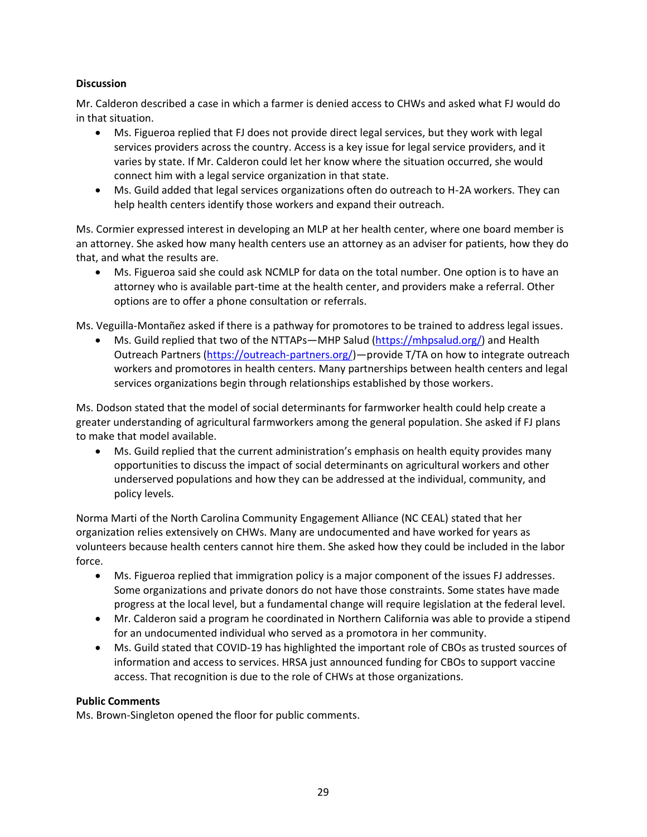#### **Discussion**

Mr. Calderon described a case in which a farmer is denied access to CHWs and asked what FJ would do in that situation.

- Ms. Figueroa replied that FJ does not provide direct legal services, but they work with legal services providers across the country. Access is a key issue for legal service providers, and it varies by state. If Mr. Calderon could let her know where the situation occurred, she would connect him with a legal service organization in that state.
- Ms. Guild added that legal services organizations often do outreach to H-2A workers. They can help health centers identify those workers and expand their outreach.

Ms. Cormier expressed interest in developing an MLP at her health center, where one board member is an attorney. She asked how many health centers use an attorney as an adviser for patients, how they do that, and what the results are.

• Ms. Figueroa said she could ask NCMLP for data on the total number. One option is to have an attorney who is available part-time at the health center, and providers make a referral. Other options are to offer a phone consultation or referrals.

Ms. Veguilla-Montañez asked if there is a pathway for promotores to be trained to address legal issues.

• Ms. Guild replied that two of the NTTAPs—MHP Salud [\(https://mhpsalud.org/\)](https://mhpsalud.org/) and Health Outreach Partners [\(https://outreach-partners.org/\)](https://outreach-partners.org/)—provide T/TA on how to integrate outreach workers and promotores in health centers. Many partnerships between health centers and legal services organizations begin through relationships established by those workers.

Ms. Dodson stated that the model of social determinants for farmworker health could help create a greater understanding of agricultural farmworkers among the general population. She asked if FJ plans to make that model available.

• Ms. Guild replied that the current administration's emphasis on health equity provides many opportunities to discuss the impact of social determinants on agricultural workers and other underserved populations and how they can be addressed at the individual, community, and policy levels.

Norma Marti of the North Carolina Community Engagement Alliance (NC CEAL) stated that her organization relies extensively on CHWs. Many are undocumented and have worked for years as volunteers because health centers cannot hire them. She asked how they could be included in the labor force.

- Ms. Figueroa replied that immigration policy is a major component of the issues FJ addresses. Some organizations and private donors do not have those constraints. Some states have made progress at the local level, but a fundamental change will require legislation at the federal level.
- Mr. Calderon said a program he coordinated in Northern California was able to provide a stipend for an undocumented individual who served as a promotora in her community.
- Ms. Guild stated that COVID-19 has highlighted the important role of CBOs as trusted sources of information and access to services. HRSA just announced funding for CBOs to support vaccine access. That recognition is due to the role of CHWs at those organizations.

#### **Public Comments**

Ms. Brown-Singleton opened the floor for public comments.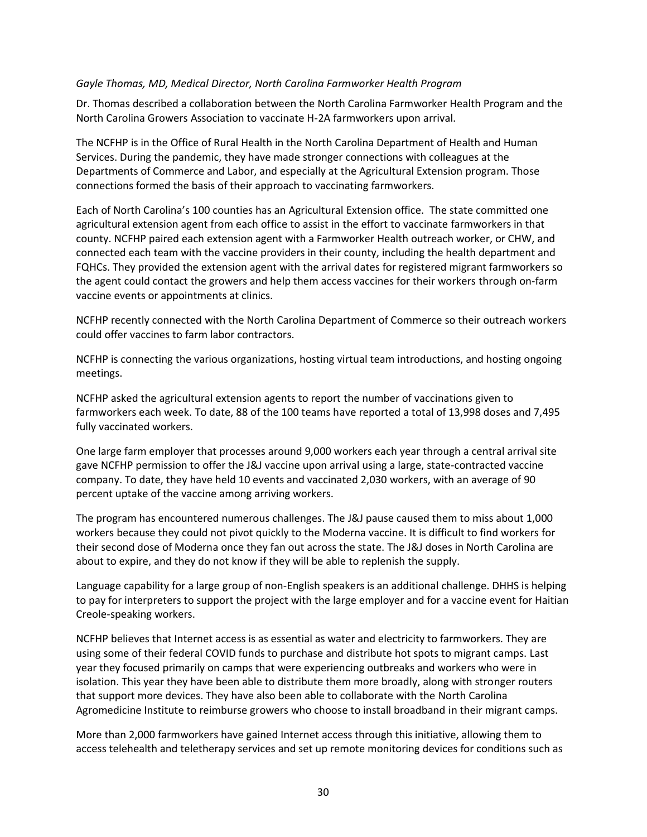#### *Gayle Thomas, MD, Medical Director, North Carolina Farmworker Health Program*

Dr. Thomas described a collaboration between the North Carolina Farmworker Health Program and the North Carolina Growers Association to vaccinate H-2A farmworkers upon arrival.

The NCFHP is in the Office of Rural Health in the North Carolina Department of Health and Human Services. During the pandemic, they have made stronger connections with colleagues at the Departments of Commerce and Labor, and especially at the Agricultural Extension program. Those connections formed the basis of their approach to vaccinating farmworkers.

Each of North Carolina's 100 counties has an Agricultural Extension office. The state committed one agricultural extension agent from each office to assist in the effort to vaccinate farmworkers in that county. NCFHP paired each extension agent with a Farmworker Health outreach worker, or CHW, and connected each team with the vaccine providers in their county, including the health department and FQHCs. They provided the extension agent with the arrival dates for registered migrant farmworkers so the agent could contact the growers and help them access vaccines for their workers through on-farm vaccine events or appointments at clinics.

NCFHP recently connected with the North Carolina Department of Commerce so their outreach workers could offer vaccines to farm labor contractors.

NCFHP is connecting the various organizations, hosting virtual team introductions, and hosting ongoing meetings.

NCFHP asked the agricultural extension agents to report the number of vaccinations given to farmworkers each week. To date, 88 of the 100 teams have reported a total of 13,998 doses and 7,495 fully vaccinated workers.

One large farm employer that processes around 9,000 workers each year through a central arrival site gave NCFHP permission to offer the J&J vaccine upon arrival using a large, state-contracted vaccine company. To date, they have held 10 events and vaccinated 2,030 workers, with an average of 90 percent uptake of the vaccine among arriving workers.

The program has encountered numerous challenges. The J&J pause caused them to miss about 1,000 workers because they could not pivot quickly to the Moderna vaccine. It is difficult to find workers for their second dose of Moderna once they fan out across the state. The J&J doses in North Carolina are about to expire, and they do not know if they will be able to replenish the supply.

Language capability for a large group of non-English speakers is an additional challenge. DHHS is helping to pay for interpreters to support the project with the large employer and for a vaccine event for Haitian Creole-speaking workers.

NCFHP believes that Internet access is as essential as water and electricity to farmworkers. They are using some of their federal COVID funds to purchase and distribute hot spots to migrant camps. Last year they focused primarily on camps that were experiencing outbreaks and workers who were in isolation. This year they have been able to distribute them more broadly, along with stronger routers that support more devices. They have also been able to collaborate with the North Carolina Agromedicine Institute to reimburse growers who choose to install broadband in their migrant camps.

More than 2,000 farmworkers have gained Internet access through this initiative, allowing them to access telehealth and teletherapy services and set up remote monitoring devices for conditions such as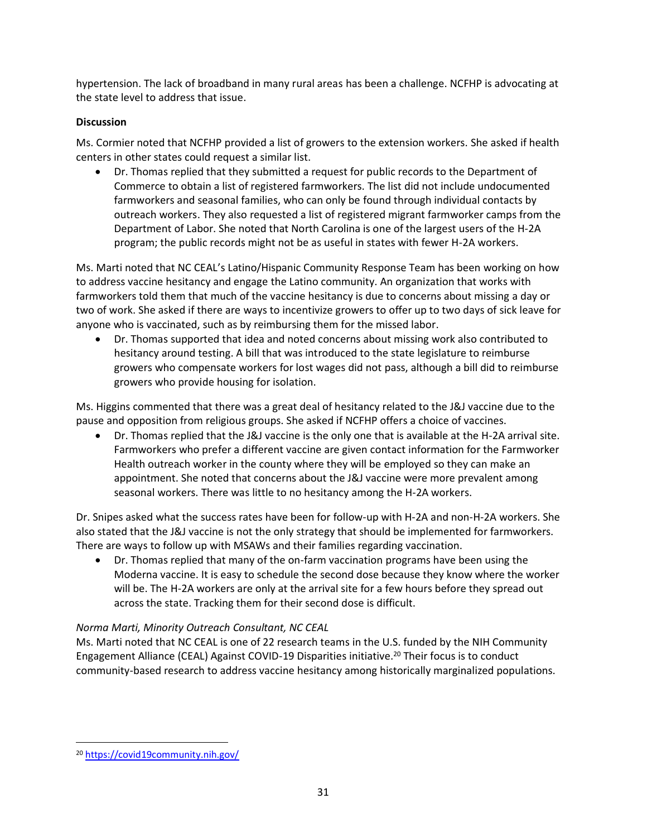hypertension. The lack of broadband in many rural areas has been a challenge. NCFHP is advocating at the state level to address that issue.

## **Discussion**

Ms. Cormier noted that NCFHP provided a list of growers to the extension workers. She asked if health centers in other states could request a similar list.

• Dr. Thomas replied that they submitted a request for public records to the Department of Commerce to obtain a list of registered farmworkers. The list did not include undocumented farmworkers and seasonal families, who can only be found through individual contacts by outreach workers. They also requested a list of registered migrant farmworker camps from the Department of Labor. She noted that North Carolina is one of the largest users of the H-2A program; the public records might not be as useful in states with fewer H-2A workers.

Ms. Marti noted that NC CEAL's Latino/Hispanic Community Response Team has been working on how to address vaccine hesitancy and engage the Latino community. An organization that works with farmworkers told them that much of the vaccine hesitancy is due to concerns about missing a day or two of work. She asked if there are ways to incentivize growers to offer up to two days of sick leave for anyone who is vaccinated, such as by reimbursing them for the missed labor.

• Dr. Thomas supported that idea and noted concerns about missing work also contributed to hesitancy around testing. A bill that was introduced to the state legislature to reimburse growers who compensate workers for lost wages did not pass, although a bill did to reimburse growers who provide housing for isolation.

Ms. Higgins commented that there was a great deal of hesitancy related to the J&J vaccine due to the pause and opposition from religious groups. She asked if NCFHP offers a choice of vaccines.

• Dr. Thomas replied that the J&J vaccine is the only one that is available at the H-2A arrival site. Farmworkers who prefer a different vaccine are given contact information for the Farmworker Health outreach worker in the county where they will be employed so they can make an appointment. She noted that concerns about the J&J vaccine were more prevalent among seasonal workers. There was little to no hesitancy among the H-2A workers.

Dr. Snipes asked what the success rates have been for follow-up with H-2A and non-H-2A workers. She also stated that the J&J vaccine is not the only strategy that should be implemented for farmworkers. There are ways to follow up with MSAWs and their families regarding vaccination.

• Dr. Thomas replied that many of the on-farm vaccination programs have been using the Moderna vaccine. It is easy to schedule the second dose because they know where the worker will be. The H-2A workers are only at the arrival site for a few hours before they spread out across the state. Tracking them for their second dose is difficult.

#### *Norma Marti, Minority Outreach Consultant, NC CEAL*

Ms. Marti noted that NC CEAL is one of 22 research teams in the U.S. funded by the NIH Community Engagement Alliance (CEAL) Against COVID-19 Disparities initiative.<sup>20</sup> Their focus is to conduct community-based research to address vaccine hesitancy among historically marginalized populations.

<sup>20</sup> <https://covid19community.nih.gov/>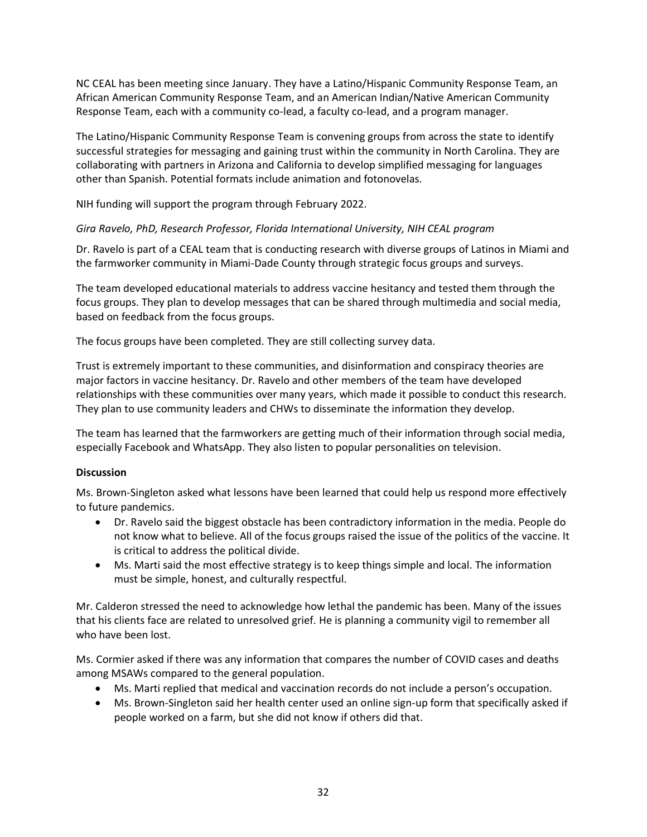NC CEAL has been meeting since January. They have a Latino/Hispanic Community Response Team, an African American Community Response Team, and an American Indian/Native American Community Response Team, each with a community co-lead, a faculty co-lead, and a program manager.

The Latino/Hispanic Community Response Team is convening groups from across the state to identify successful strategies for messaging and gaining trust within the community in North Carolina. They are collaborating with partners in Arizona and California to develop simplified messaging for languages other than Spanish. Potential formats include animation and fotonovelas.

NIH funding will support the program through February 2022.

#### *Gira Ravelo, PhD, Research Professor, Florida International University, NIH CEAL program*

Dr. Ravelo is part of a CEAL team that is conducting research with diverse groups of Latinos in Miami and the farmworker community in Miami-Dade County through strategic focus groups and surveys.

The team developed educational materials to address vaccine hesitancy and tested them through the focus groups. They plan to develop messages that can be shared through multimedia and social media, based on feedback from the focus groups.

The focus groups have been completed. They are still collecting survey data.

Trust is extremely important to these communities, and disinformation and conspiracy theories are major factors in vaccine hesitancy. Dr. Ravelo and other members of the team have developed relationships with these communities over many years, which made it possible to conduct this research. They plan to use community leaders and CHWs to disseminate the information they develop.

The team has learned that the farmworkers are getting much of their information through social media, especially Facebook and WhatsApp. They also listen to popular personalities on television.

#### **Discussion**

Ms. Brown-Singleton asked what lessons have been learned that could help us respond more effectively to future pandemics.

- Dr. Ravelo said the biggest obstacle has been contradictory information in the media. People do not know what to believe. All of the focus groups raised the issue of the politics of the vaccine. It is critical to address the political divide.
- Ms. Marti said the most effective strategy is to keep things simple and local. The information must be simple, honest, and culturally respectful.

Mr. Calderon stressed the need to acknowledge how lethal the pandemic has been. Many of the issues that his clients face are related to unresolved grief. He is planning a community vigil to remember all who have been lost.

Ms. Cormier asked if there was any information that compares the number of COVID cases and deaths among MSAWs compared to the general population.

- Ms. Marti replied that medical and vaccination records do not include a person's occupation.
- Ms. Brown-Singleton said her health center used an online sign-up form that specifically asked if people worked on a farm, but she did not know if others did that.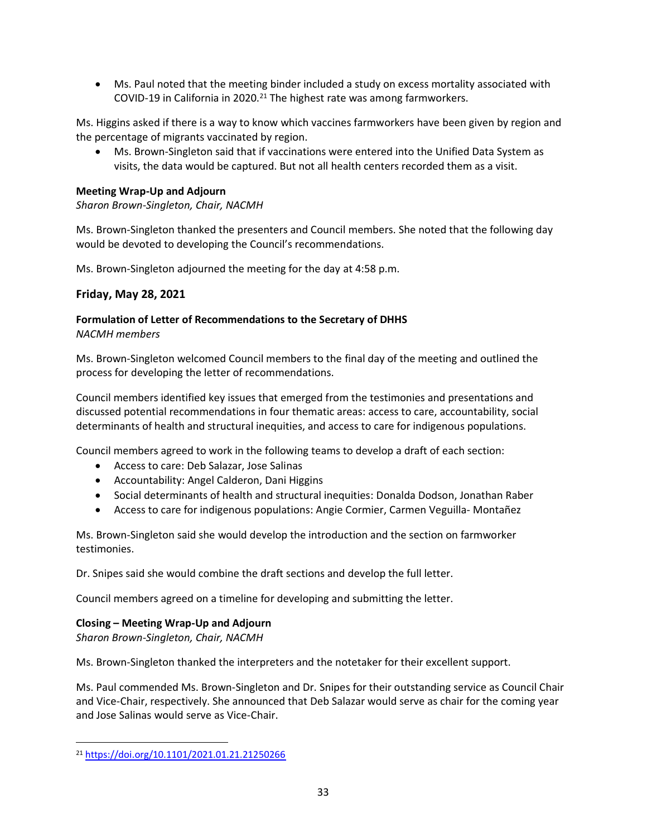• Ms. Paul noted that the meeting binder included a study on excess mortality associated with COVID-19 in California in 2020. $^{21}$  The highest rate was among farmworkers.

Ms. Higgins asked if there is a way to know which vaccines farmworkers have been given by region and the percentage of migrants vaccinated by region.

• Ms. Brown-Singleton said that if vaccinations were entered into the Unified Data System as visits, the data would be captured. But not all health centers recorded them as a visit.

#### **Meeting Wrap-Up and Adjourn**

*Sharon Brown-Singleton, Chair, NACMH* 

Ms. Brown-Singleton thanked the presenters and Council members. She noted that the following day would be devoted to developing the Council's recommendations.

Ms. Brown-Singleton adjourned the meeting for the day at 4:58 p.m.

## **Friday, May 28, 2021**

#### **Formulation of Letter of Recommendations to the Secretary of DHHS**  *NACMH members*

Ms. Brown-Singleton welcomed Council members to the final day of the meeting and outlined the process for developing the letter of recommendations.

Council members identified key issues that emerged from the testimonies and presentations and discussed potential recommendations in four thematic areas: access to care, accountability, social determinants of health and structural inequities, and access to care for indigenous populations.

Council members agreed to work in the following teams to develop a draft of each section:

- Access to care: Deb Salazar, Jose Salinas
- Accountability: Angel Calderon, Dani Higgins
- Social determinants of health and structural inequities: Donalda Dodson, Jonathan Raber
- Access to care for indigenous populations: Angie Cormier, Carmen Veguilla- Montañez

Ms. Brown-Singleton said she would develop the introduction and the section on farmworker testimonies.

Dr. Snipes said she would combine the draft sections and develop the full letter.

Council members agreed on a timeline for developing and submitting the letter.

#### **Closing – Meeting Wrap-Up and Adjourn**

*Sharon Brown-Singleton, Chair, NACMH* 

Ms. Brown-Singleton thanked the interpreters and the notetaker for their excellent support.

Ms. Paul commended Ms. Brown-Singleton and Dr. Snipes for their outstanding service as Council Chair and Vice-Chair, respectively. She announced that Deb Salazar would serve as chair for the coming year and Jose Salinas would serve as Vice-Chair.

<sup>21</sup> <https://doi.org/10.1101/2021.01.21.21250266>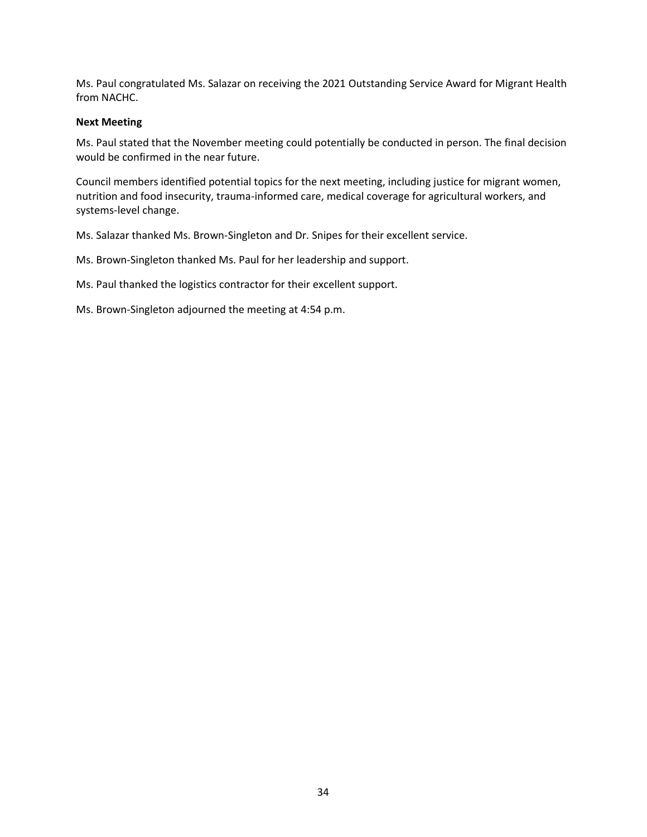Ms. Paul congratulated Ms. Salazar on receiving the 2021 Outstanding Service Award for Migrant Health from NACHC.

#### **Next Meeting**

Ms. Paul stated that the November meeting could potentially be conducted in person. The final decision would be confirmed in the near future.

Council members identified potential topics for the next meeting, including justice for migrant women, nutrition and food insecurity, trauma-informed care, medical coverage for agricultural workers, and systems-level change.

Ms. Salazar thanked Ms. Brown-Singleton and Dr. Snipes for their excellent service.

Ms. Brown-Singleton thanked Ms. Paul for her leadership and support.

Ms. Paul thanked the logistics contractor for their excellent support.

Ms. Brown-Singleton adjourned the meeting at 4:54 p.m.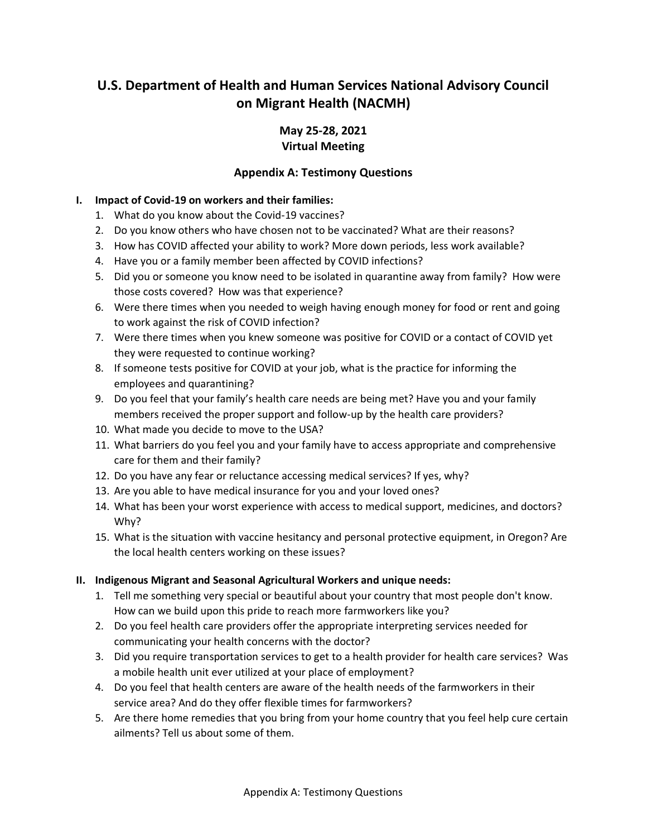## **U.S. Department of Health and Human Services National Advisory Council on Migrant Health (NACMH)**

## **May 25-28, 2021 Virtual Meeting**

## **Appendix A: Testimony Questions**

#### **I. Impact of Covid-19 on workers and their families:**

- 1. What do you know about the Covid-19 vaccines?
- 2. Do you know others who have chosen not to be vaccinated? What are their reasons?
- 3. How has COVID affected your ability to work? More down periods, less work available?
- 4. Have you or a family member been affected by COVID infections?
- 5. Did you or someone you know need to be isolated in quarantine away from family? How were those costs covered? How was that experience?
- 6. Were there times when you needed to weigh having enough money for food or rent and going to work against the risk of COVID infection?
- 7. Were there times when you knew someone was positive for COVID or a contact of COVID yet they were requested to continue working?
- 8. If someone tests positive for COVID at your job, what is the practice for informing the employees and quarantining?
- 9. Do you feel that your family's health care needs are being met? Have you and your family members received the proper support and follow-up by the health care providers?
- 10. What made you decide to move to the USA?
- 11. What barriers do you feel you and your family have to access appropriate and comprehensive care for them and their family?
- 12. Do you have any fear or reluctance accessing medical services? If yes, why?
- 13. Are you able to have medical insurance for you and your loved ones?
- 14. What has been your worst experience with access to medical support, medicines, and doctors? Why?
- 15. What is the situation with vaccine hesitancy and personal protective equipment, in Oregon? Are the local health centers working on these issues?

#### **II. Indigenous Migrant and Seasonal Agricultural Workers and unique needs:**

- 1. Tell me something very special or beautiful about your country that most people don't know. How can we build upon this pride to reach more farmworkers like you?
- 2. Do you feel health care providers offer the appropriate interpreting services needed for communicating your health concerns with the doctor?
- 3. Did you require transportation services to get to a health provider for health care services? Was a mobile health unit ever utilized at your place of employment?
- 4. Do you feel that health centers are aware of the health needs of the farmworkers in their service area? And do they offer flexible times for farmworkers?
- 5. Are there home remedies that you bring from your home country that you feel help cure certain ailments? Tell us about some of them.